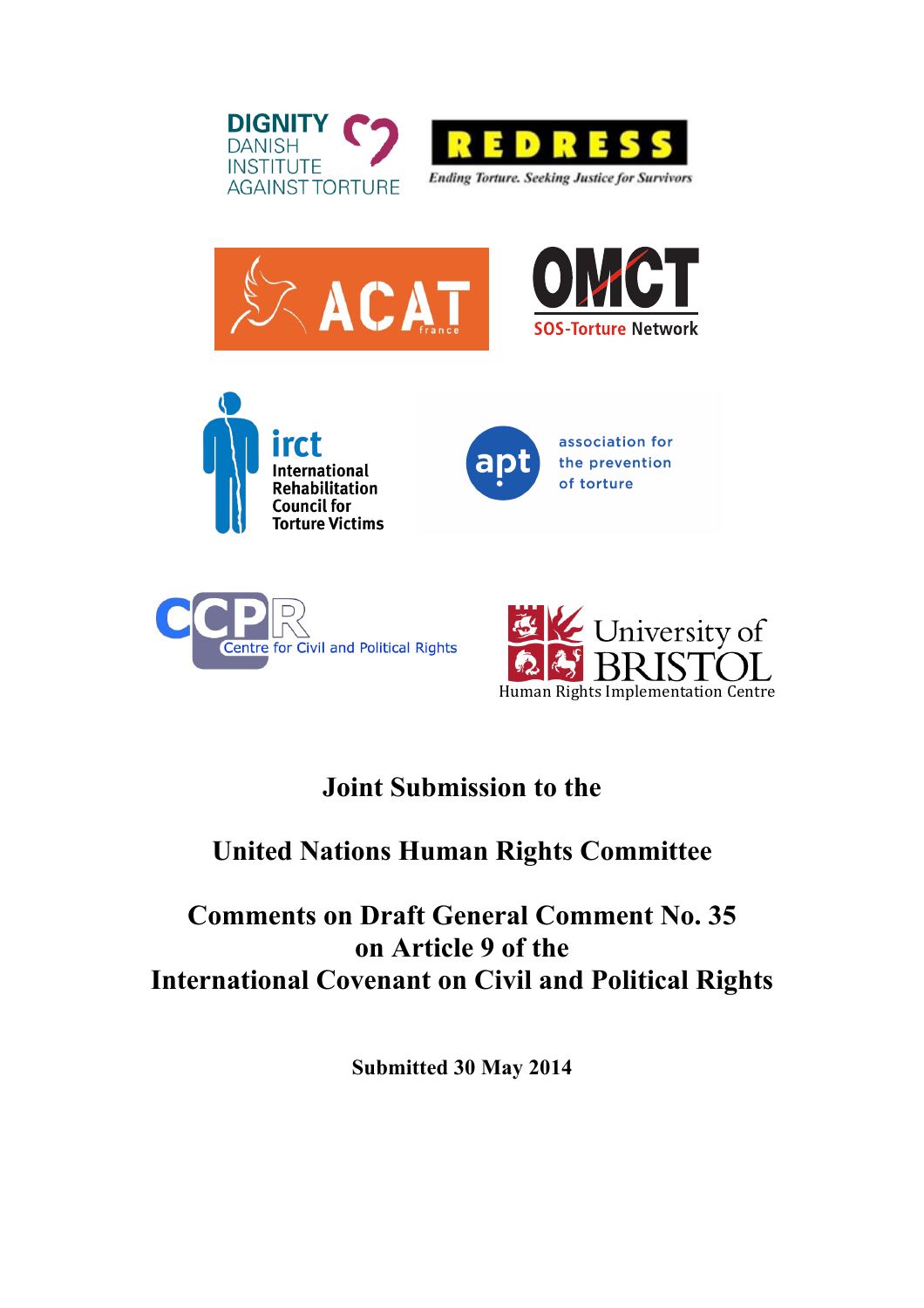











# **Joint Submission to the**

# **United Nations Human Rights Committee**

# **Comments on Draft General Comment No. 35 on Article 9 of the International Covenant on Civil and Political Rights**

**Submitted 30 May 2014**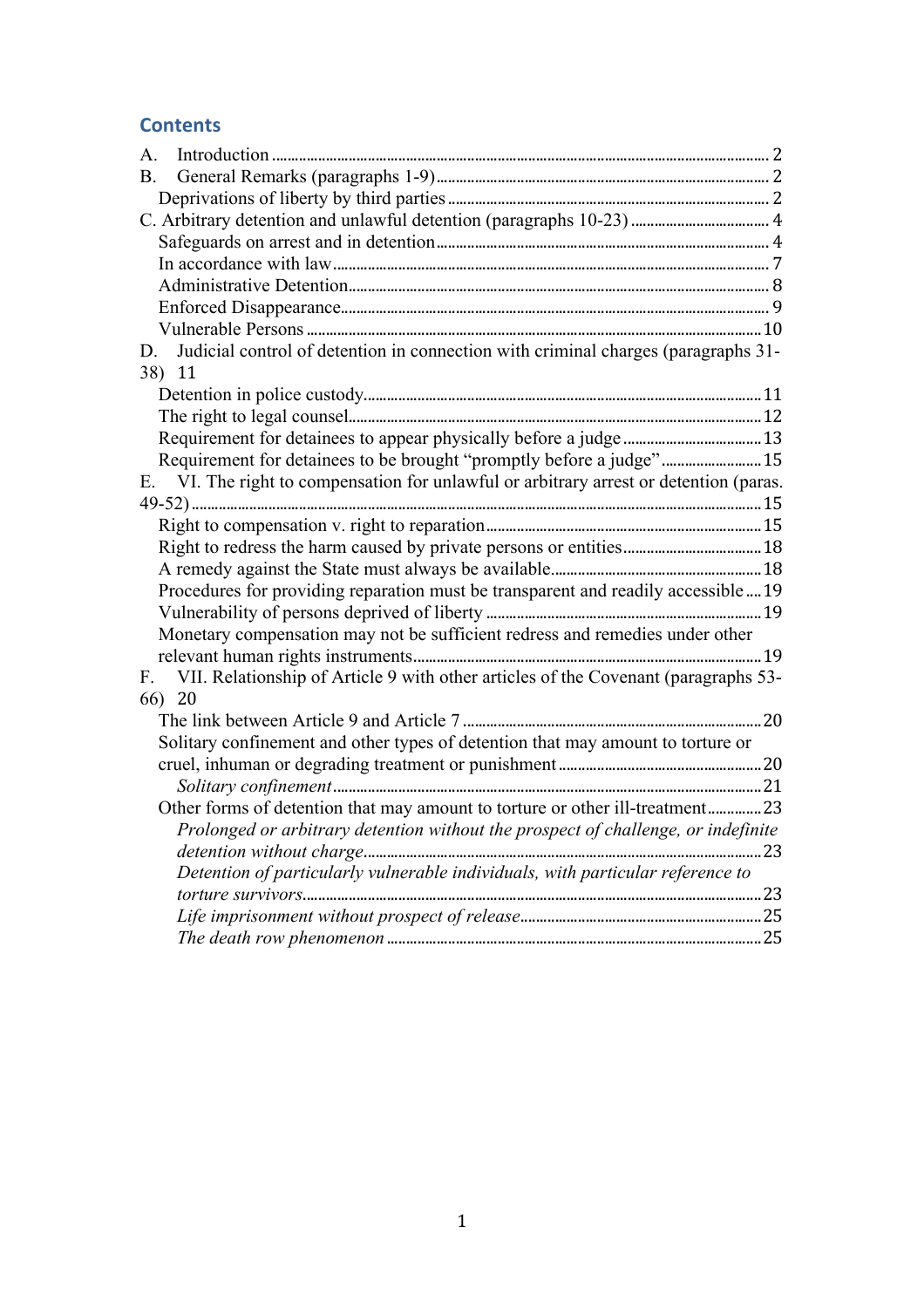# **Contents**

| A.                                                                                                |  |
|---------------------------------------------------------------------------------------------------|--|
| В.                                                                                                |  |
|                                                                                                   |  |
|                                                                                                   |  |
|                                                                                                   |  |
|                                                                                                   |  |
|                                                                                                   |  |
|                                                                                                   |  |
|                                                                                                   |  |
| Judicial control of detention in connection with criminal charges (paragraphs 31-<br>D.<br>38) 11 |  |
|                                                                                                   |  |
|                                                                                                   |  |
|                                                                                                   |  |
| Requirement for detainees to be brought "promptly before a judge" 15                              |  |
| VI. The right to compensation for unlawful or arbitrary arrest or detention (paras.<br>Е.         |  |
|                                                                                                   |  |
|                                                                                                   |  |
|                                                                                                   |  |
|                                                                                                   |  |
| Procedures for providing reparation must be transparent and readily accessible  19                |  |
|                                                                                                   |  |
| Monetary compensation may not be sufficient redress and remedies under other                      |  |
|                                                                                                   |  |
| VII. Relationship of Article 9 with other articles of the Covenant (paragraphs 53-<br>$F_{\cdot}$ |  |
| 66) 20                                                                                            |  |
|                                                                                                   |  |
| Solitary confinement and other types of detention that may amount to torture or                   |  |
|                                                                                                   |  |
|                                                                                                   |  |
| Other forms of detention that may amount to torture or other ill-treatment23                      |  |
| Prolonged or arbitrary detention without the prospect of challenge, or indefinite                 |  |
|                                                                                                   |  |
| Detention of particularly vulnerable individuals, with particular reference to                    |  |
|                                                                                                   |  |
|                                                                                                   |  |
|                                                                                                   |  |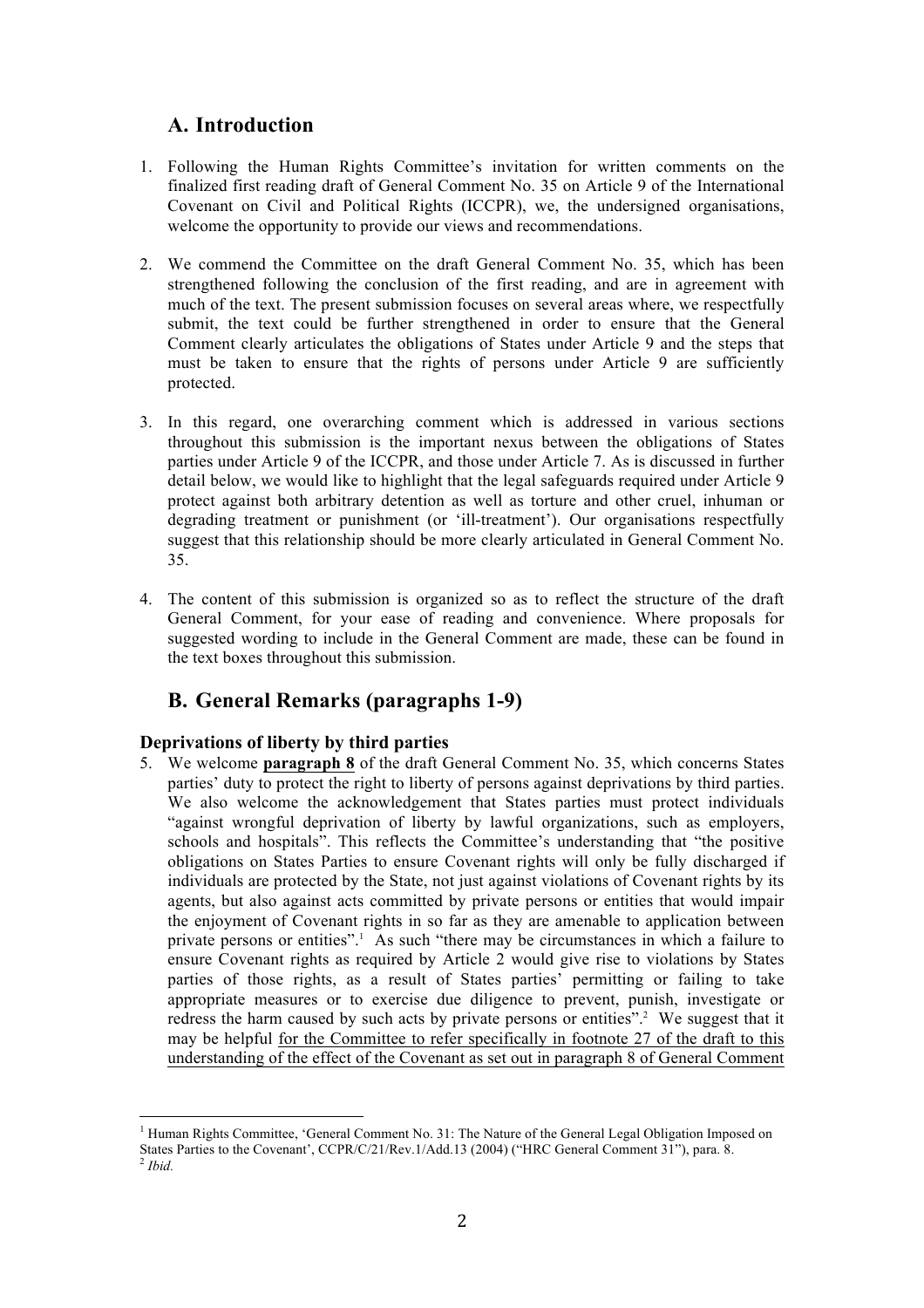# **A. Introduction**

- 1. Following the Human Rights Committee's invitation for written comments on the finalized first reading draft of General Comment No. 35 on Article 9 of the International Covenant on Civil and Political Rights (ICCPR), we, the undersigned organisations, welcome the opportunity to provide our views and recommendations.
- 2. We commend the Committee on the draft General Comment No. 35, which has been strengthened following the conclusion of the first reading, and are in agreement with much of the text. The present submission focuses on several areas where, we respectfully submit, the text could be further strengthened in order to ensure that the General Comment clearly articulates the obligations of States under Article 9 and the steps that must be taken to ensure that the rights of persons under Article 9 are sufficiently protected.
- 3. In this regard, one overarching comment which is addressed in various sections throughout this submission is the important nexus between the obligations of States parties under Article 9 of the ICCPR, and those under Article 7. As is discussed in further detail below, we would like to highlight that the legal safeguards required under Article 9 protect against both arbitrary detention as well as torture and other cruel, inhuman or degrading treatment or punishment (or 'ill-treatment'). Our organisations respectfully suggest that this relationship should be more clearly articulated in General Comment No. 35.
- 4. The content of this submission is organized so as to reflect the structure of the draft General Comment, for your ease of reading and convenience. Where proposals for suggested wording to include in the General Comment are made, these can be found in the text boxes throughout this submission.

# **B. General Remarks (paragraphs 1-9)**

## **Deprivations of liberty by third parties**

 

5. We welcome **paragraph 8** of the draft General Comment No. 35, which concerns States parties' duty to protect the right to liberty of persons against deprivations by third parties. We also welcome the acknowledgement that States parties must protect individuals "against wrongful deprivation of liberty by lawful organizations, such as employers, schools and hospitals". This reflects the Committee's understanding that "the positive obligations on States Parties to ensure Covenant rights will only be fully discharged if individuals are protected by the State, not just against violations of Covenant rights by its agents, but also against acts committed by private persons or entities that would impair the enjoyment of Covenant rights in so far as they are amenable to application between private persons or entities".<sup>1</sup> As such "there may be circumstances in which a failure to ensure Covenant rights as required by Article 2 would give rise to violations by States parties of those rights, as a result of States parties' permitting or failing to take appropriate measures or to exercise due diligence to prevent, punish, investigate or redress the harm caused by such acts by private persons or entities".<sup>2</sup> We suggest that it may be helpful for the Committee to refer specifically in footnote 27 of the draft to this understanding of the effect of the Covenant as set out in paragraph 8 of General Comment

 $<sup>1</sup>$  Human Rights Committee, 'General Comment No. 31: The Nature of the General Legal Obligation Imposed on</sup> States Parties to the Covenant', CCPR/C/21/Rev.1/Add.13 (2004) ("HRC General Comment 31"), para. 8. <sup>2</sup> *Ibid.*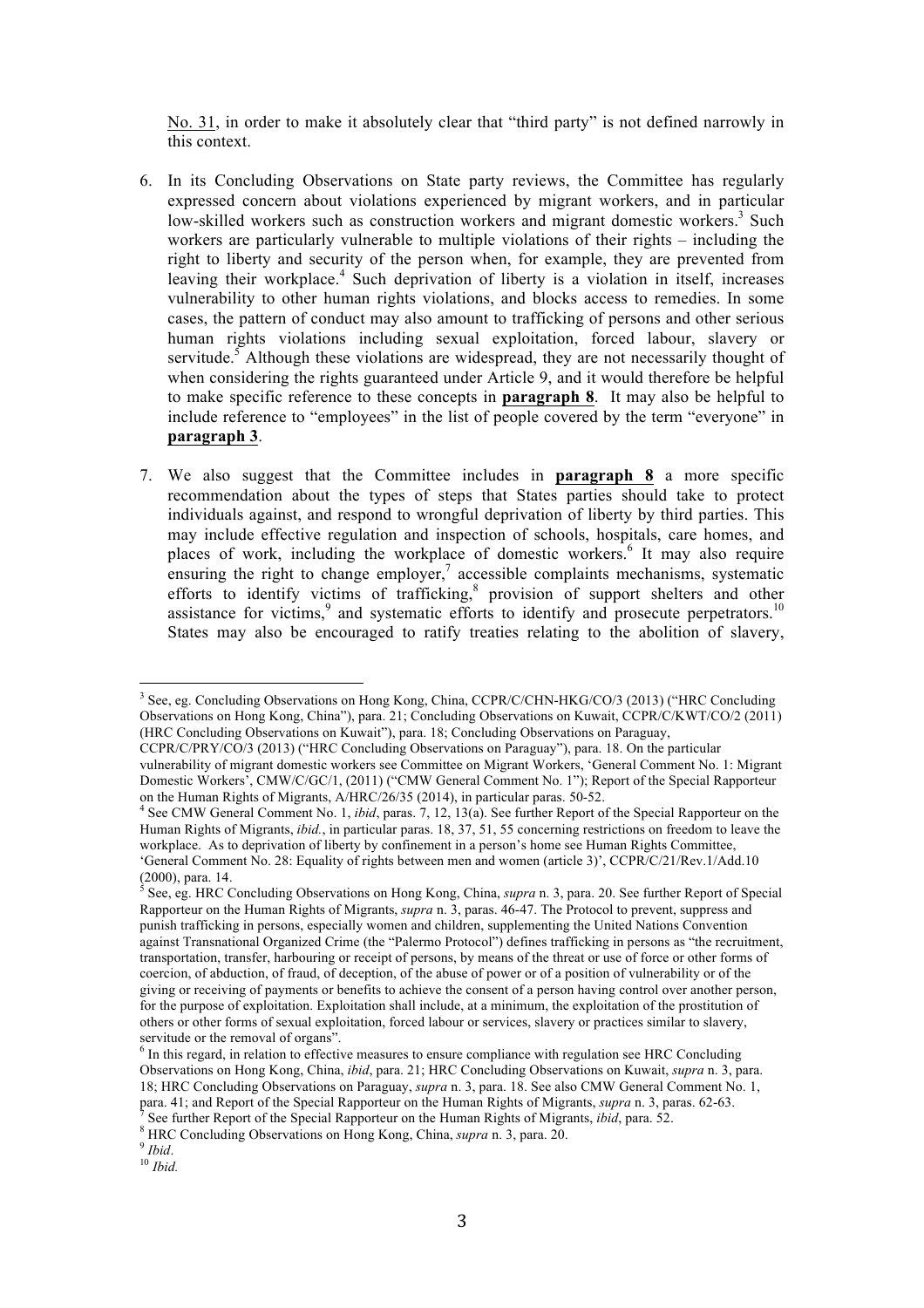No. 31, in order to make it absolutely clear that "third party" is not defined narrowly in this context.

- 6. In its Concluding Observations on State party reviews, the Committee has regularly expressed concern about violations experienced by migrant workers, and in particular low-skilled workers such as construction workers and migrant domestic workers.<sup>3</sup> Such workers are particularly vulnerable to multiple violations of their rights – including the right to liberty and security of the person when, for example, they are prevented from leaving their workplace.<sup>4</sup> Such deprivation of liberty is a violation in itself, increases vulnerability to other human rights violations, and blocks access to remedies. In some cases, the pattern of conduct may also amount to trafficking of persons and other serious human rights violations including sexual exploitation, forced labour, slavery or servitude.<sup>5</sup> Although these violations are widespread, they are not necessarily thought of when considering the rights guaranteed under Article 9, and it would therefore be helpful to make specific reference to these concepts in **paragraph 8**. It may also be helpful to include reference to "employees" in the list of people covered by the term "everyone" in **paragraph 3**.
- 7. We also suggest that the Committee includes in **paragraph 8** a more specific recommendation about the types of steps that States parties should take to protect individuals against, and respond to wrongful deprivation of liberty by third parties. This may include effective regulation and inspection of schools, hospitals, care homes, and places of work, including the workplace of domestic workers. <sup>6</sup> It may also require ensuring the right to change employer, $\frac{7}{1}$  accessible complaints mechanisms, systematic efforts to identify victims of trafficking,<sup>8</sup> provision of support shelters and other assistance for victims, $9$  and systematic efforts to identify and prosecute perpetrators.<sup>10</sup> States may also be encouraged to ratify treaties relating to the abolition of slavery,

<sup>3</sup> See, eg. Concluding Observations on Hong Kong, China, CCPR/C/CHN-HKG/CO/3 (2013) ("HRC Concluding Observations on Hong Kong, China"), para. 21; Concluding Observations on Kuwait, CCPR/C/KWT/CO/2 (2011) (HRC Concluding Observations on Kuwait"), para. 18; Concluding Observations on Paraguay,

CCPR/C/PRY/CO/3 (2013) ("HRC Concluding Observations on Paraguay"), para. 18. On the particular vulnerability of migrant domestic workers see Committee on Migrant Workers, 'General Comment No. 1: Migrant Domestic Workers', CMW/C/GC/1, (2011) ("CMW General Comment No. 1"); Report of the Special Rapporteur

on the Human Rights of Migrants, A/HRC/26/35 (2014), in particular paras. 50-52. <sup>4</sup> See CMW General Comment No. 1, *ibid*, paras. 7, 12, 13(a). See further Report of the Special Rapporteur on the Human Rights of Migrants, *ibid.*, in particular paras. 18, 37, 51, 55 concerning restrictions on freedom to leave the workplace. As to deprivation of liberty by confinement in a person's home see Human Rights Committee, 'General Comment No. 28: Equality of rights between men and women (article 3)', CCPR/C/21/Rev.1/Add.10 (2000), para. 14. <sup>5</sup> See, eg. HRC Concluding Observations on Hong Kong, China, *supra* n. 3, para. 20. See further Report of Special

Rapporteur on the Human Rights of Migrants, *supra* n. 3, paras. 46-47. The Protocol to prevent, suppress and punish trafficking in persons, especially women and children, supplementing the United Nations Convention against Transnational Organized Crime (the "Palermo Protocol") defines trafficking in persons as "the recruitment, transportation, transfer, harbouring or receipt of persons, by means of the threat or use of force or other forms of coercion, of abduction, of fraud, of deception, of the abuse of power or of a position of vulnerability or of the giving or receiving of payments or benefits to achieve the consent of a person having control over another person, for the purpose of exploitation. Exploitation shall include, at a minimum, the exploitation of the prostitution of others or other forms of sexual exploitation, forced labour or services, slavery or practices similar to slavery, servitude or the removal of organs".

<sup>&</sup>lt;sup>6</sup> In this regard, in relation to effective measures to ensure compliance with regulation see HRC Concluding Observations on Hong Kong, China, *ibid*, para. 21; HRC Concluding Observations on Kuwait, *supra* n. 3, para. 18; HRC Concluding Observations on Paraguay, *supra* n. 3, para. 18. See also CMW General Comment No. 1, para. 41; and Report of the Special Rapporteur on the Human Rights of Migrants, *supra* n. 3, paras. 62-63.<br><sup>7</sup> See further Report of the Special Rapporteur on the Human Rights of Migrants, *ibid*, para. 52.<br><sup>8</sup> HRC Concl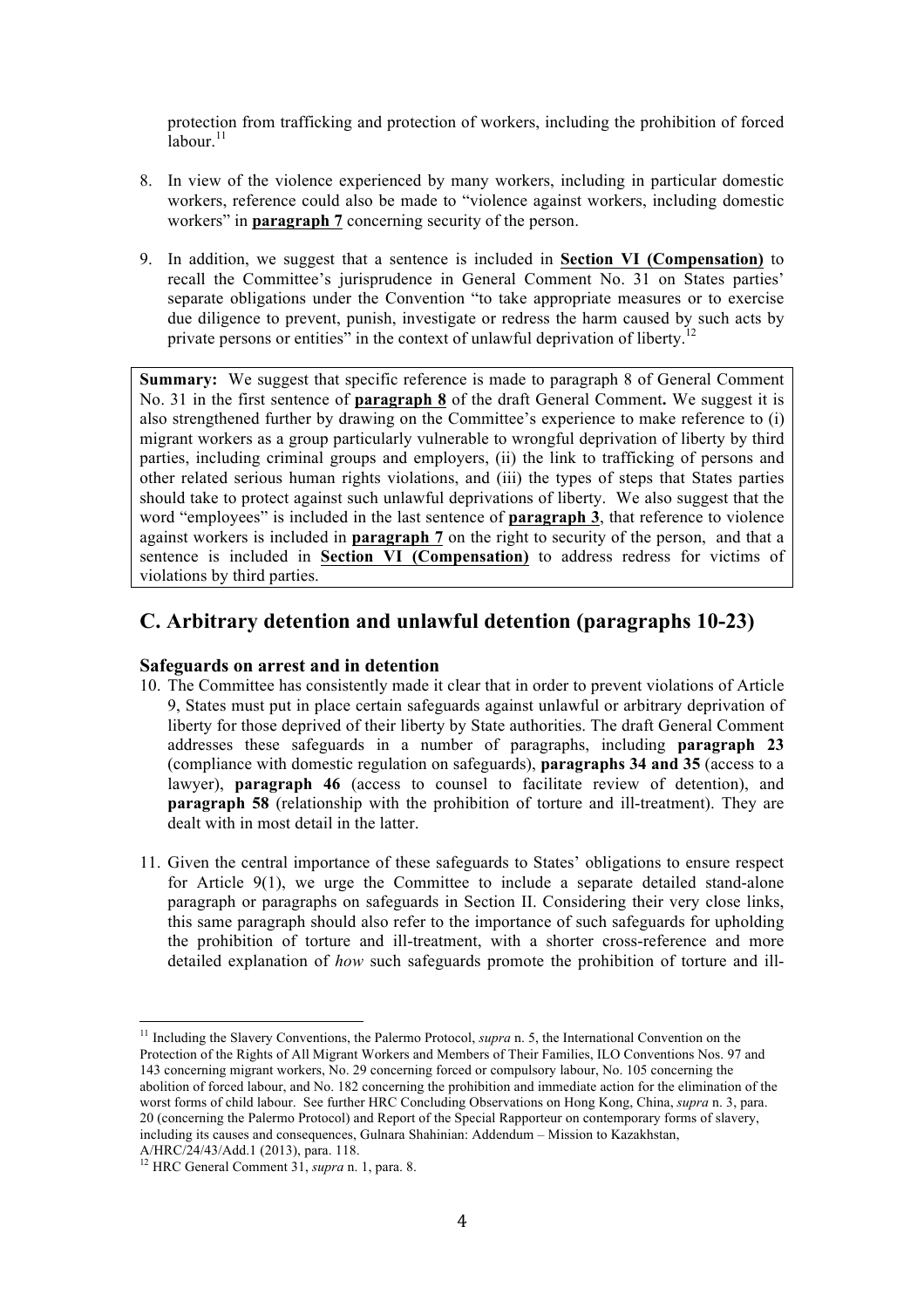protection from trafficking and protection of workers, including the prohibition of forced  $\overline{a}$ labour.<sup>11</sup>

- 8. In view of the violence experienced by many workers, including in particular domestic workers, reference could also be made to "violence against workers, including domestic workers" in **paragraph 7** concerning security of the person.
- 9. In addition, we suggest that a sentence is included in **Section VI (Compensation)** to recall the Committee's jurisprudence in General Comment No. 31 on States parties' separate obligations under the Convention "to take appropriate measures or to exercise due diligence to prevent, punish, investigate or redress the harm caused by such acts by private persons or entities" in the context of unlawful deprivation of liberty.<sup>12</sup>

**Summary:** We suggest that specific reference is made to paragraph 8 of General Comment No. 31 in the first sentence of **paragraph 8** of the draft General Comment**.** We suggest it is also strengthened further by drawing on the Committee's experience to make reference to (i) migrant workers as a group particularly vulnerable to wrongful deprivation of liberty by third parties, including criminal groups and employers, (ii) the link to trafficking of persons and other related serious human rights violations, and (iii) the types of steps that States parties should take to protect against such unlawful deprivations of liberty. We also suggest that the word "employees" is included in the last sentence of **paragraph 3**, that reference to violence against workers is included in **paragraph 7** on the right to security of the person, and that a sentence is included in **Section VI (Compensation)** to address redress for victims of violations by third parties.

## **C. Arbitrary detention and unlawful detention (paragraphs 10-23)**

### **Safeguards on arrest and in detention**

- 10. The Committee has consistently made it clear that in order to prevent violations of Article 9, States must put in place certain safeguards against unlawful or arbitrary deprivation of liberty for those deprived of their liberty by State authorities. The draft General Comment addresses these safeguards in a number of paragraphs, including **paragraph 23** (compliance with domestic regulation on safeguards), **paragraphs 34 and 35** (access to a lawyer), **paragraph 46** (access to counsel to facilitate review of detention), and **paragraph 58** (relationship with the prohibition of torture and ill-treatment). They are dealt with in most detail in the latter.
- 11. Given the central importance of these safeguards to States' obligations to ensure respect for Article 9(1), we urge the Committee to include a separate detailed stand-alone paragraph or paragraphs on safeguards in Section II. Considering their very close links, this same paragraph should also refer to the importance of such safeguards for upholding the prohibition of torture and ill-treatment, with a shorter cross-reference and more detailed explanation of *how* such safeguards promote the prohibition of torture and ill-

<sup>&</sup>lt;sup>11</sup> Including the Slavery Conventions, the Palermo Protocol, *supra* n. 5, the International Convention on the Protection of the Rights of All Migrant Workers and Members of Their Families, ILO Conventions Nos. 97 and 143 concerning migrant workers, No. 29 concerning forced or compulsory labour, No. 105 concerning the abolition of forced labour, and No. 182 concerning the prohibition and immediate action for the elimination of the worst forms of child labour. See further HRC Concluding Observations on Hong Kong, China, *supra* n. 3, para. 20 (concerning the Palermo Protocol) and Report of the Special Rapporteur on contemporary forms of slavery, including its causes and consequences, Gulnara Shahinian: Addendum – Mission to Kazakhstan, A/HRC/24/43/Add.1 (2013), para. 118.

<sup>12</sup> HRC General Comment 31, *supra* n. 1, para. 8.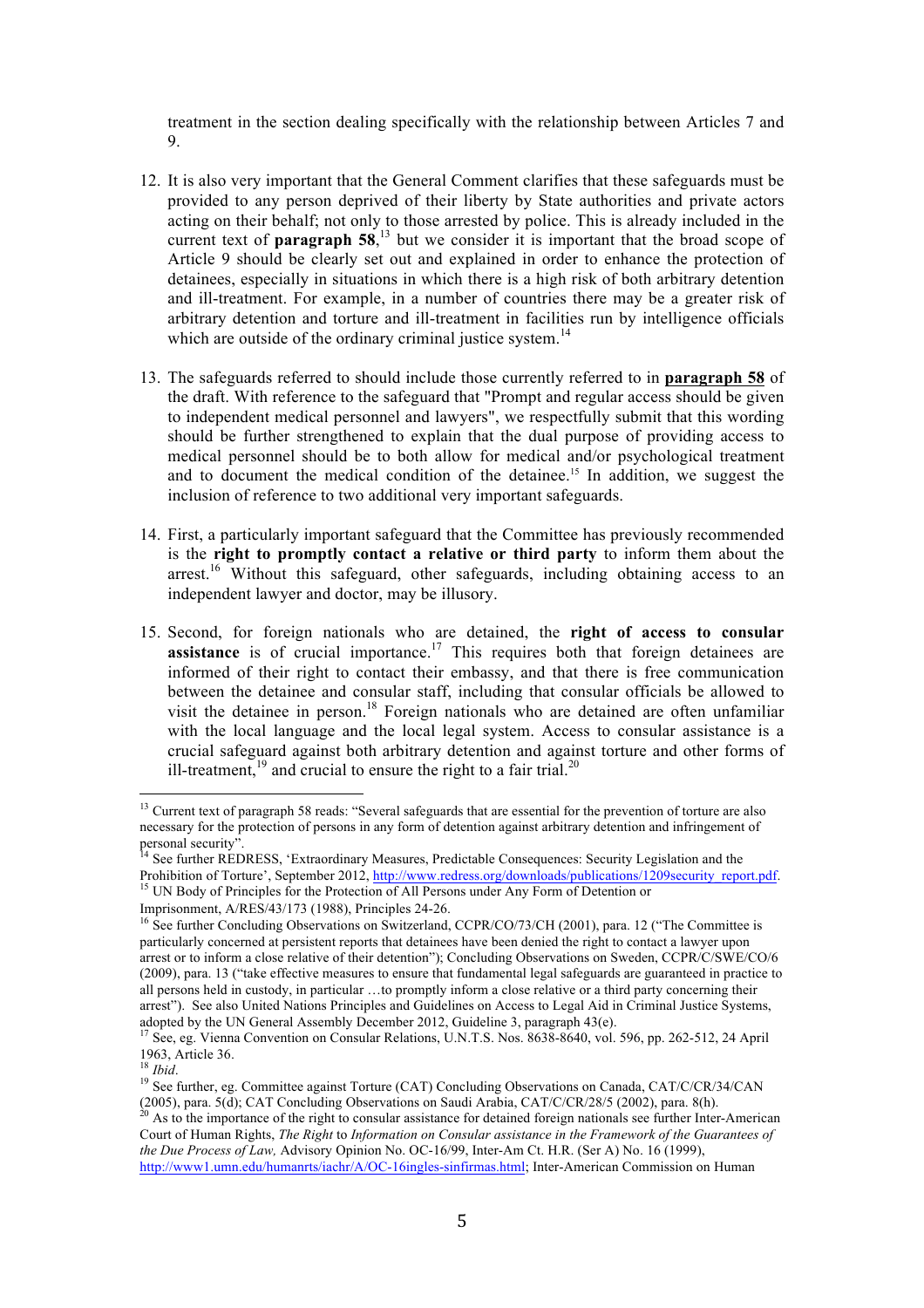treatment in the section dealing specifically with the relationship between Articles 7 and 9.

- 12. It is also very important that the General Comment clarifies that these safeguards must be provided to any person deprived of their liberty by State authorities and private actors acting on their behalf; not only to those arrested by police. This is already included in the current text of **paragraph 58**<sup> $13$ </sup> but we consider it is important that the broad scope of Article 9 should be clearly set out and explained in order to enhance the protection of detainees, especially in situations in which there is a high risk of both arbitrary detention and ill-treatment. For example, in a number of countries there may be a greater risk of arbitrary detention and torture and ill-treatment in facilities run by intelligence officials which are outside of the ordinary criminal justice system.<sup>14</sup>
- 13. The safeguards referred to should include those currently referred to in **paragraph 58** of the draft. With reference to the safeguard that "Prompt and regular access should be given to independent medical personnel and lawyers", we respectfully submit that this wording should be further strengthened to explain that the dual purpose of providing access to medical personnel should be to both allow for medical and/or psychological treatment and to document the medical condition of the detainee.15 In addition, we suggest the inclusion of reference to two additional very important safeguards.
- 14. First, a particularly important safeguard that the Committee has previously recommended is the **right to promptly contact a relative or third party** to inform them about the arrest.<sup>16</sup> Without this safeguard, other safeguards, including obtaining access to an independent lawyer and doctor, may be illusory.
- 15. Second, for foreign nationals who are detained, the **right of access to consular assistance** is of crucial importance.<sup>17</sup> This requires both that foreign detainees are informed of their right to contact their embassy, and that there is free communication between the detainee and consular staff, including that consular officials be allowed to visit the detainee in person.18 Foreign nationals who are detained are often unfamiliar with the local language and the local legal system. Access to consular assistance is a crucial safeguard against both arbitrary detention and against torture and other forms of ill-treatment,<sup>19</sup> and crucial to ensure the right to a fair trial.<sup>20</sup>

<sup>&</sup>lt;sup>13</sup> Current text of paragraph 58 reads: "Several safeguards that are essential for the prevention of torture are also necessary for the protection of persons in any form of detention against arbitrary detention and infringement of personal security".

<sup>14</sup> See further REDRESS, 'Extraordinary Measures, Predictable Consequences: Security Legislation and the Prohibition of Torture', September 2012, http://www.redress.org/downloads/publications/1209security\_report.pdf. <sup>15</sup> UN Body of Principles for the Protection of All Persons under Any Form of Detention or

Imprisonment, A/RES/43/173 (1988), Principles 24-26.

<sup>&</sup>lt;sup>16</sup> See further Concluding Observations on Switzerland, CCPR/CO/73/CH (2001), para. 12 ("The Committee is particularly concerned at persistent reports that detainees have been denied the right to contact a lawyer upon arrest or to inform a close relative of their detention"); Concluding Observations on Sweden, CCPR/C/SWE/CO/6 (2009), para. 13 ("take effective measures to ensure that fundamental legal safeguards are guaranteed in practice to all persons held in custody, in particular …to promptly inform a close relative or a third party concerning their arrest"). See also United Nations Principles and Guidelines on Access to Legal Aid in Criminal Justice Systems, adopted by the UN General Assembly December 2012, Guideline 3, paragraph 43(e).<br><sup>17</sup> See, eg. Vienna Convention on Consular Relations, U.N.T.S. Nos. 8638-8640, vol. 596, pp. 262-512, 24 April

<sup>1963,</sup> Article 36.<br><sup>18</sup> *Ihid* 

<sup>&</sup>lt;sup>19</sup> See further, eg. Committee against Torture (CAT) Concluding Observations on Canada, CAT/C/CR/34/CAN (2005), para. 5(d); CAT Concluding Observations on Saudi Arabia, CAT/C/CR/28/5 (2002), para. 8(h).  $^{20}$  As to the importance of the right to consular assistance for detained foreign nationals see further Inter-American

Court of Human Rights, *The Right* to *Information on Consular assistance in the Framework of the Guarantees of the Due Process of Law,* Advisory Opinion No. OC-16/99, Inter-Am Ct. H.R. (Ser A) No. 16 (1999), http://www1.umn.edu/humanrts/iachr/A/OC-16ingles-sinfirmas.html; Inter-American Commission on Human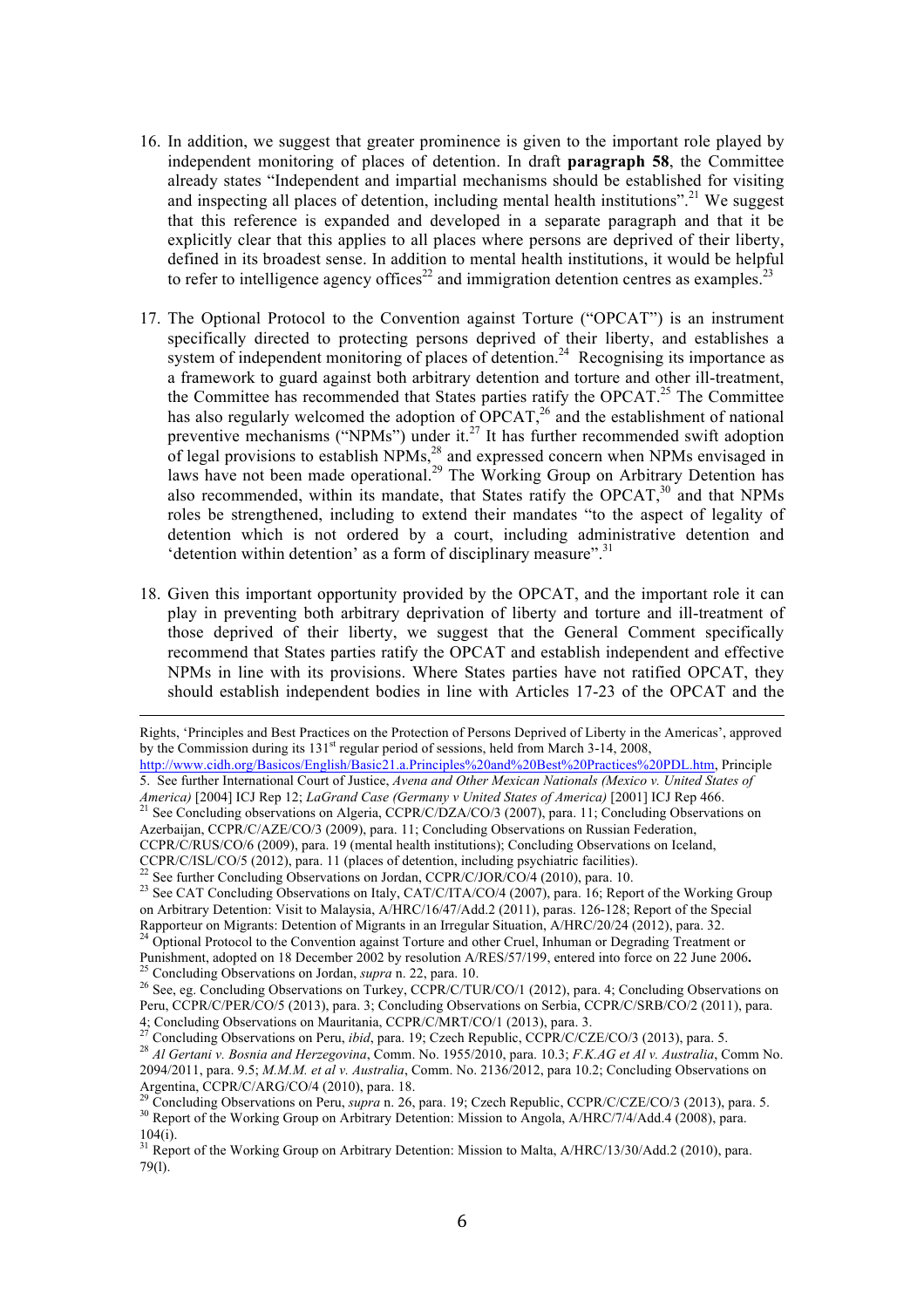- 16. In addition, we suggest that greater prominence is given to the important role played by independent monitoring of places of detention. In draft **paragraph 58**, the Committee already states "Independent and impartial mechanisms should be established for visiting and inspecting all places of detention, including mental health institutions".<sup>21</sup> We suggest that this reference is expanded and developed in a separate paragraph and that it be explicitly clear that this applies to all places where persons are deprived of their liberty, defined in its broadest sense. In addition to mental health institutions, it would be helpful to refer to intelligence agency offices<sup>22</sup> and immigration detention centres as examples.<sup>23</sup>
- 17. The Optional Protocol to the Convention against Torture ("OPCAT") is an instrument specifically directed to protecting persons deprived of their liberty, and establishes a system of independent monitoring of places of detention.<sup>24</sup> Recognising its importance as a framework to guard against both arbitrary detention and torture and other ill-treatment, the Committee has recommended that States parties ratify the OPCAT.<sup>25</sup> The Committee has also regularly welcomed the adoption of  $OPCAT<sub>1</sub><sup>26</sup>$  and the establishment of national preventive mechanisms ("NPMs") under it.<sup>27</sup> It has further recommended swift adoption of legal provisions to establish  $NPMs<sub>l</sub><sup>28</sup>$  and expressed concern when NPMs envisaged in laws have not been made operational.<sup>29</sup> The Working Group on Arbitrary Detention has also recommended, within its mandate, that States ratify the OPCAT, $30$  and that NPMs roles be strengthened, including to extend their mandates "to the aspect of legality of detention which is not ordered by a court, including administrative detention and 'detention within detention' as a form of disciplinary measure".<sup>31</sup>
- 18. Given this important opportunity provided by the OPCAT, and the important role it can play in preventing both arbitrary deprivation of liberty and torture and ill-treatment of those deprived of their liberty, we suggest that the General Comment specifically recommend that States parties ratify the OPCAT and establish independent and effective NPMs in line with its provisions. Where States parties have not ratified OPCAT, they should establish independent bodies in line with Articles 17-23 of the OPCAT and the

<u> 1989 - Andrea Santa Alemania, poeta esperanto-se especial de la propia de la propia de la propia de la propia</u>

Rights, 'Principles and Best Practices on the Protection of Persons Deprived of Liberty in the Americas', approved by the Commission during its 131<sup>st</sup> regular period of sessions, held from March 3-14, 2008, http://www.cidh.org/Basicos/English/Basic21.a.Principles%20and%20Best%20Practices%20PDL.htm, Principle

<sup>5.</sup> See further International Court of Justice, *Avena and Other Mexican Nationals (Mexico v. United States of* 

*America*) [2004] ICJ Rep 12; *LaGrand Case (Germany v United States of America*) [2001] ICJ Rep 466.<br><sup>21</sup> See Concluding observations on Algeria, CCPR/C/DZA/CO/3 (2007), para. 11; Concluding Observations on Azerbaijan, CCPR/C/AZE/CO/3 (2009), para. 11; Concluding Observations on Russian Federation,

CCPR/C/RUS/CO/6 (2009), para. 19 (mental health institutions); Concluding Observations on Iceland,

CCPR/C/ISL/CO/5 (2012), para. 11 (places of detention, including psychiatric facilities).<br>
<sup>22</sup> See further Concluding Observations on Jordan, CCPR/C/JOR/CO/4 (2010), para. 10.<br>
<sup>23</sup> See CAT Concluding Observations on Ital on Arbitrary Detention: Visit to Malaysia, A/HRC/16/47/Add.2 (2011), paras. 126-128; Report of the Special Rapporteur on Migrants: Detention of Migrants in an Irregular Situation, A/HRC/20/24 (2012), para. 32.<br><sup>24</sup> Optional Protocol to the Convention against Torture and other Cruel, Inhuman or Degrading Treatment or

Punishment, adopted on 18 December 2002 by resolution A/RES/57/199, entered into force on 22 June 2006.<br><sup>25</sup> Concluding Observations on Jordan, *supra* n. 22, para. 10.<br><sup>26</sup> See, eg. Concluding Observations on Turkey, CCPR

Peru, CCPR/C/PER/CO/5 (2013), para. 3; Concluding Observations on Serbia, CCPR/C/SRB/CO/2 (2011), para.<br>4; Concluding Observations on Mauritania, CCPR/C/MRT/CO/1 (2013), para. 3.<br><sup>27</sup> Concluding Observations on Mauritania,

<sup>&</sup>lt;sup>27</sup> Concluding Observations on Peru, *ibid*, para. 19; Czech Republic, CCPR/C/CZE/CO/3 (2013), para. 5.<br><sup>28</sup> Al Gertani v. Bosnia and Herzegovina, Comm. No. 1955/2010, para. 10.3; F.K.AG et Al v. Australia, Comm No. 2094/2011, para. 9.5; *M.M.M. et al v. Australia*, Comm. No. 2136/2012, para 10.2; Concluding Observations on Argentina, CCPR/C/ARG/CO/4 (2010), para. 18.

<sup>&</sup>lt;sup>29</sup> Concluding Observations on Peru, *supra* n. 26, para. 19; Czech Republic, CCPR/C/CZE/CO/3 (2013), para. 5.<br><sup>30</sup> Report of the Working Group on Arbitrary Detention: Mission to Angola, A/HRC/7/4/Add.4 (2008), para.  $104(i)$ .

<sup>&</sup>lt;sup>31</sup> Report of the Working Group on Arbitrary Detention: Mission to Malta, A/HRC/13/30/Add.2 (2010), para. 79(l).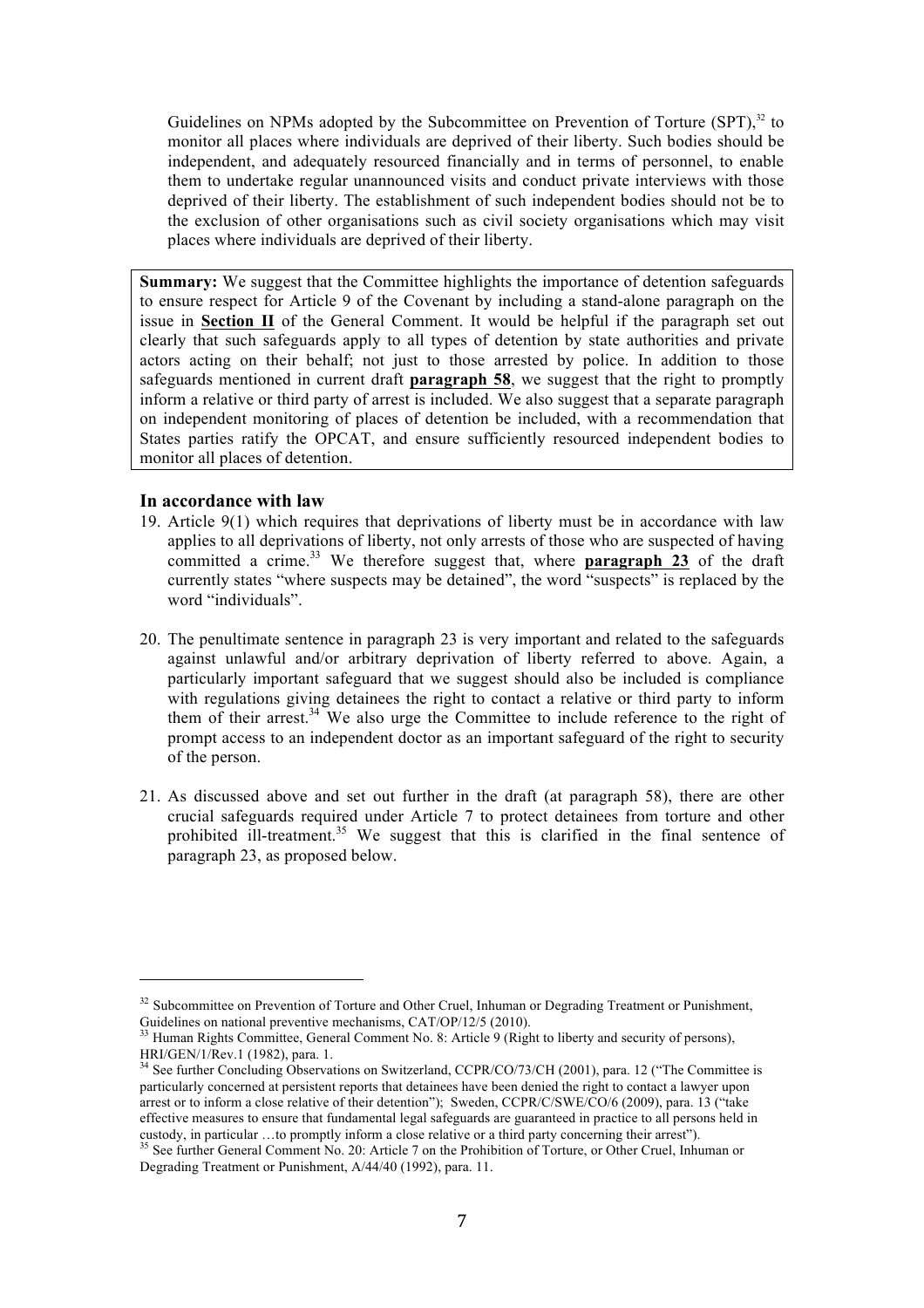Guidelines on NPMs adopted by the Subcommittee on Prevention of Torture  $(SPT)$ ,  $32$  to monitor all places where individuals are deprived of their liberty. Such bodies should be independent, and adequately resourced financially and in terms of personnel, to enable them to undertake regular unannounced visits and conduct private interviews with those deprived of their liberty. The establishment of such independent bodies should not be to the exclusion of other organisations such as civil society organisations which may visit places where individuals are deprived of their liberty.

**Summary:** We suggest that the Committee highlights the importance of detention safeguards to ensure respect for Article 9 of the Covenant by including a stand-alone paragraph on the issue in **Section II** of the General Comment. It would be helpful if the paragraph set out clearly that such safeguards apply to all types of detention by state authorities and private actors acting on their behalf; not just to those arrested by police. In addition to those safeguards mentioned in current draft **paragraph 58**, we suggest that the right to promptly inform a relative or third party of arrest is included. We also suggest that a separate paragraph on independent monitoring of places of detention be included, with a recommendation that States parties ratify the OPCAT, and ensure sufficiently resourced independent bodies to monitor all places of detention.

#### **In accordance with law**

- 19. Article 9(1) which requires that deprivations of liberty must be in accordance with law applies to all deprivations of liberty, not only arrests of those who are suspected of having committed a crime.<sup>33</sup> We therefore suggest that, where **paragraph 23** of the draft currently states "where suspects may be detained", the word "suspects" is replaced by the word "individuals".
- 20. The penultimate sentence in paragraph 23 is very important and related to the safeguards against unlawful and/or arbitrary deprivation of liberty referred to above. Again, a particularly important safeguard that we suggest should also be included is compliance with regulations giving detainees the right to contact a relative or third party to inform them of their arrest.<sup>34</sup> We also urge the Committee to include reference to the right of prompt access to an independent doctor as an important safeguard of the right to security of the person.
- 21. As discussed above and set out further in the draft (at paragraph 58), there are other crucial safeguards required under Article 7 to protect detainees from torture and other prohibited ill-treatment.<sup>35</sup> We suggest that this is clarified in the final sentence of paragraph 23, as proposed below.

<sup>&</sup>lt;sup>32</sup> Subcommittee on Prevention of Torture and Other Cruel, Inhuman or Degrading Treatment or Punishment, Guidelines on national preventive mechanisms, CAT/OP/12/5 (2010).<br><sup>33</sup> Human Rights Committee, General Comment No. 8: Article 9 (Right to liberty and security of persons),

HRI/GEN/1/Rev.1 (1982), para. 1.<br><sup>34</sup> See further Concluding Observations on Switzerland, CCPR/CO/73/CH (2001), para. 12 ("The Committee is

particularly concerned at persistent reports that detainees have been denied the right to contact a lawyer upon arrest or to inform a close relative of their detention"); Sweden, CCPR/C/SWE/CO/6 (2009), para. 13 ("take effective measures to ensure that fundamental legal safeguards are guaranteed in practice to all persons held in custody, in particular …to promptly inform a close relative or a third party concerning their arrest").<br><sup>35</sup> See further General Comment No. 20: Article 7 on the Prohibition of Torture, or Other Cruel, Inhuman or

Degrading Treatment or Punishment, A/44/40 (1992), para. 11.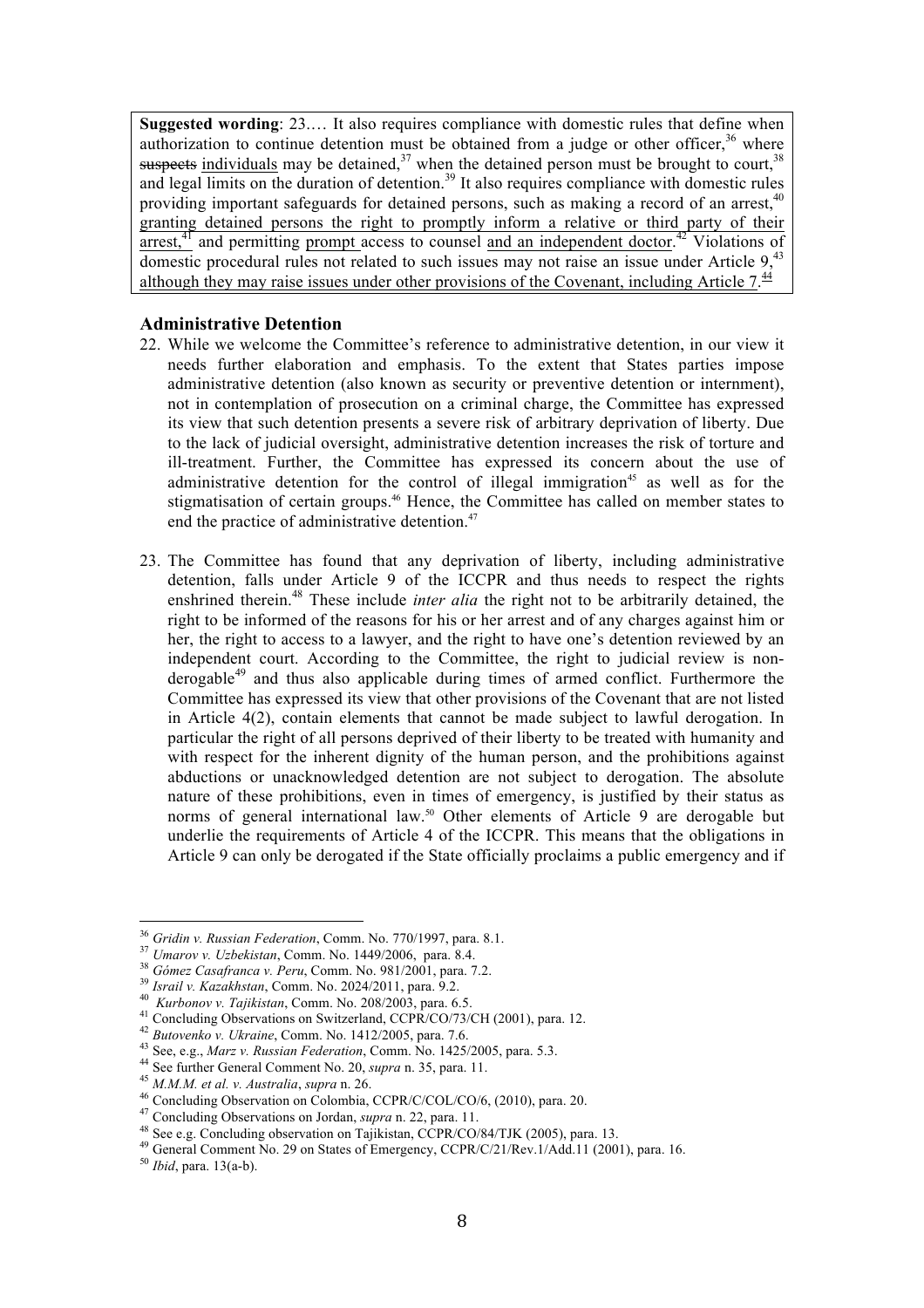**Suggested wording**: 23.… It also requires compliance with domestic rules that define when authorization to continue detention must be obtained from a judge or other officer.<sup>36</sup> where suspects individuals may be detained, $37$  when the detained person must be brought to court,  $38$ and legal limits on the duration of detention.<sup>39</sup> It also requires compliance with domestic rules providing important safeguards for detained persons, such as making a record of an arrest,<sup>40</sup> granting detained persons the right to promptly inform a relative or third party of their arrest,<sup>41</sup> and permitting prompt access to counsel and an independent doctor.<sup>42</sup> Violations of domestic procedural rules not related to such issues may not raise an issue under Article 9.<sup>43</sup> although they may raise issues under other provisions of the Covenant, including Article  $7.\frac{44}{5}$ 

#### **Administrative Detention**

- 22. While we welcome the Committee's reference to administrative detention, in our view it needs further elaboration and emphasis. To the extent that States parties impose administrative detention (also known as security or preventive detention or internment), not in contemplation of prosecution on a criminal charge, the Committee has expressed its view that such detention presents a severe risk of arbitrary deprivation of liberty. Due to the lack of judicial oversight, administrative detention increases the risk of torture and ill-treatment. Further, the Committee has expressed its concern about the use of administrative detention for the control of illegal immigration<sup>45</sup> as well as for the stigmatisation of certain groups.<sup>46</sup> Hence, the Committee has called on member states to end the practice of administrative detention.<sup>47</sup>
- 23. The Committee has found that any deprivation of liberty, including administrative detention, falls under Article 9 of the ICCPR and thus needs to respect the rights enshrined therein.<sup>48</sup> These include *inter alia* the right not to be arbitrarily detained, the right to be informed of the reasons for his or her arrest and of any charges against him or her, the right to access to a lawyer, and the right to have one's detention reviewed by an independent court. According to the Committee, the right to judicial review is nonderogable<sup>49</sup> and thus also applicable during times of armed conflict. Furthermore the Committee has expressed its view that other provisions of the Covenant that are not listed in Article 4(2), contain elements that cannot be made subject to lawful derogation. In particular the right of all persons deprived of their liberty to be treated with humanity and with respect for the inherent dignity of the human person, and the prohibitions against abductions or unacknowledged detention are not subject to derogation. The absolute nature of these prohibitions, even in times of emergency, is justified by their status as norms of general international law.<sup>50</sup> Other elements of Article 9 are derogable but underlie the requirements of Article 4 of the ICCPR. This means that the obligations in Article 9 can only be derogated if the State officially proclaims a public emergency and if

<sup>&</sup>lt;sup>36</sup> Gridin v. Russian Federation, Comm. No. 770/1997, para. 8.1.

<sup>&</sup>lt;sup>37</sup> Umarov v. Uzbekistan, Comm. No. 1449/2006, para. 8.4.<br><sup>38</sup> Gómez Casafranca v. Peru, Comm. No. 981/2001, para. 7.2.<br><sup>39</sup> Israil v. Kazakhstan, Comm. No. 2024/2011, para. 9.2.<br><sup>40</sup> Kurbonov v. Tajikistan, Comm. No. 20

<sup>46</sup> Concluding Observation on Colombia, CCPR/C/COL/CO/6, (2010), para. 20.<br><sup>47</sup> Concluding Observations on Jordan, *supra* n. 22, para. 11.<br><sup>48</sup> See e.g. Concluding observation on Tajikistan, CCPR/CO/84/TJK (2005), para. 13

<sup>49</sup> General Comment No. 29 on States of Emergency, CCPR/C/21/Rev.1/Add.11 (2001), para. 16. 50 *Ibid*, para. 13(a-b).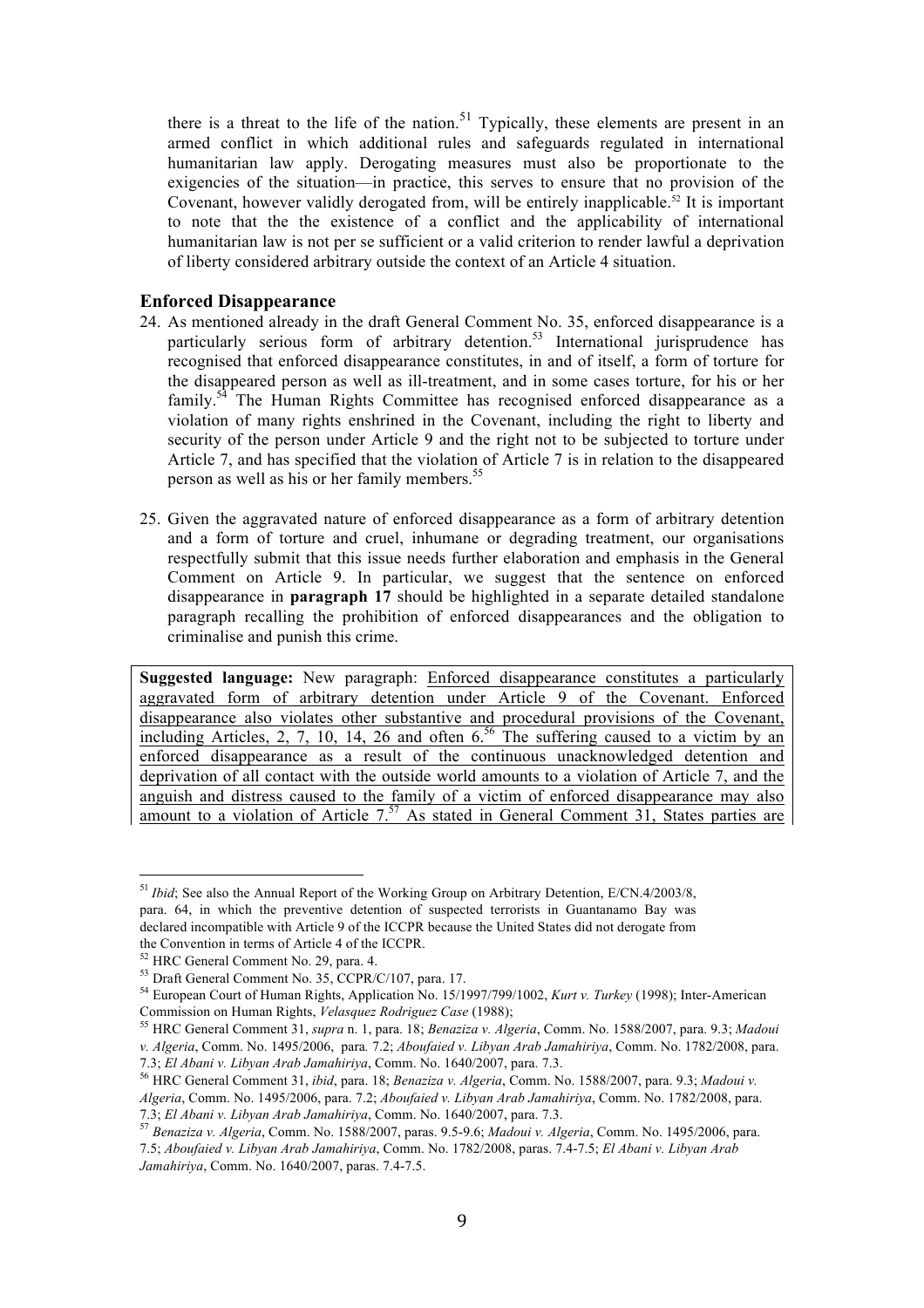there is a threat to the life of the nation.<sup>51</sup> Typically, these elements are present in an armed conflict in which additional rules and safeguards regulated in international humanitarian law apply. Derogating measures must also be proportionate to the exigencies of the situation—in practice, this serves to ensure that no provision of the Covenant, however validly derogated from, will be entirely inapplicable.<sup>52</sup> It is important to note that the the existence of a conflict and the applicability of international humanitarian law is not per se sufficient or a valid criterion to render lawful a deprivation of liberty considered arbitrary outside the context of an Article 4 situation.

### **Enforced Disappearance**

- 24. As mentioned already in the draft General Comment No. 35, enforced disappearance is a particularly serious form of arbitrary detention.<sup>53</sup> International jurisprudence has recognised that enforced disappearance constitutes, in and of itself, a form of torture for the disappeared person as well as ill-treatment, and in some cases torture, for his or her family.<sup>54</sup> The Human Rights Committee has recognised enforced disappearance as a violation of many rights enshrined in the Covenant, including the right to liberty and security of the person under Article 9 and the right not to be subjected to torture under Article 7, and has specified that the violation of Article 7 is in relation to the disappeared person as well as his or her family members.<sup>55</sup>
- 25. Given the aggravated nature of enforced disappearance as a form of arbitrary detention and a form of torture and cruel, inhumane or degrading treatment, our organisations respectfully submit that this issue needs further elaboration and emphasis in the General Comment on Article 9. In particular, we suggest that the sentence on enforced disappearance in **paragraph 17** should be highlighted in a separate detailed standalone paragraph recalling the prohibition of enforced disappearances and the obligation to criminalise and punish this crime.

**Suggested language:** New paragraph: Enforced disappearance constitutes a particularly aggravated form of arbitrary detention under Article 9 of the Covenant. Enforced disappearance also violates other substantive and procedural provisions of the Covenant, including Articles, 2, 7, 10, 14, 26 and often  $6<sup>56</sup>$  The suffering caused to a victim by an enforced disappearance as a result of the continuous unacknowledged detention and deprivation of all contact with the outside world amounts to a violation of Article 7, and the anguish and distress caused to the family of a victim of enforced disappearance may also amount to a violation of Article  $7<sup>57</sup>$  As stated in General Comment 31, States parties are

<sup>&</sup>lt;sup>51</sup> *Ibid*: See also the Annual Report of the Working Group on Arbitrary Detention, E/CN.4/2003/8, para. 64, in which the preventive detention of suspected terrorists in Guantanamo Bay was declared incompatible with Article 9 of the ICCPR because the United States did not derogate from the Convention in terms of Article 4 of the ICCPR.<br><sup>52</sup> HRC General Comment No. 29, para. 4.

<sup>&</sup>lt;sup>53</sup> Draft General Comment No. 35, CCPR/C/107, para. 17.<br><sup>54</sup> European Court of Human Rights, Application No. 15/1997/799/1002, *Kurt v. Turkey* (1998); Inter-American Commission on Human Rights, *Velasquez Rodriguez Case* (1988); 55 HRC General Comment 31, *supra* n. 1, para. 18; *Benaziza v. Algeria*, Comm. No. 1588/2007, para. 9.3; *Madoui* 

*v. Algeria*, Comm. No. 1495/2006, para*.* 7.2; *Aboufaied v. Libyan Arab Jamahiriya*, Comm. No. 1782/2008, para.

<sup>7.3;</sup> *El Abani v. Libyan Arab Jamahiriya*, Comm. No. 1640/2007, para. 7.3. 56 HRC General Comment 31, *ibid*, para. 18; *Benaziza v. Algeria*, Comm. No. 1588/2007, para. 9.3; *Madoui v. Algeria*, Comm. No. 1495/2006, para. 7.2; *Aboufaied v. Libyan Arab Jamahiriya*, Comm. No. 1782/2008, para.

<sup>7.3;</sup> *El Abani v. Libyan Arab Jamahiriya*, Comm. No. 1640/2007, para. 7.3. 57 *Benaziza v. Algeria*, Comm. No. 1588/2007, paras. 9.5-9.6; *Madoui v. Algeria*, Comm. No. 1495/2006, para. 7.5; *Aboufaied v. Libyan Arab Jamahiriya*, Comm. No. 1782/2008, paras. 7.4-7.5; *El Abani v. Libyan Arab Jamahiriya*, Comm. No. 1640/2007, paras. 7.4-7.5.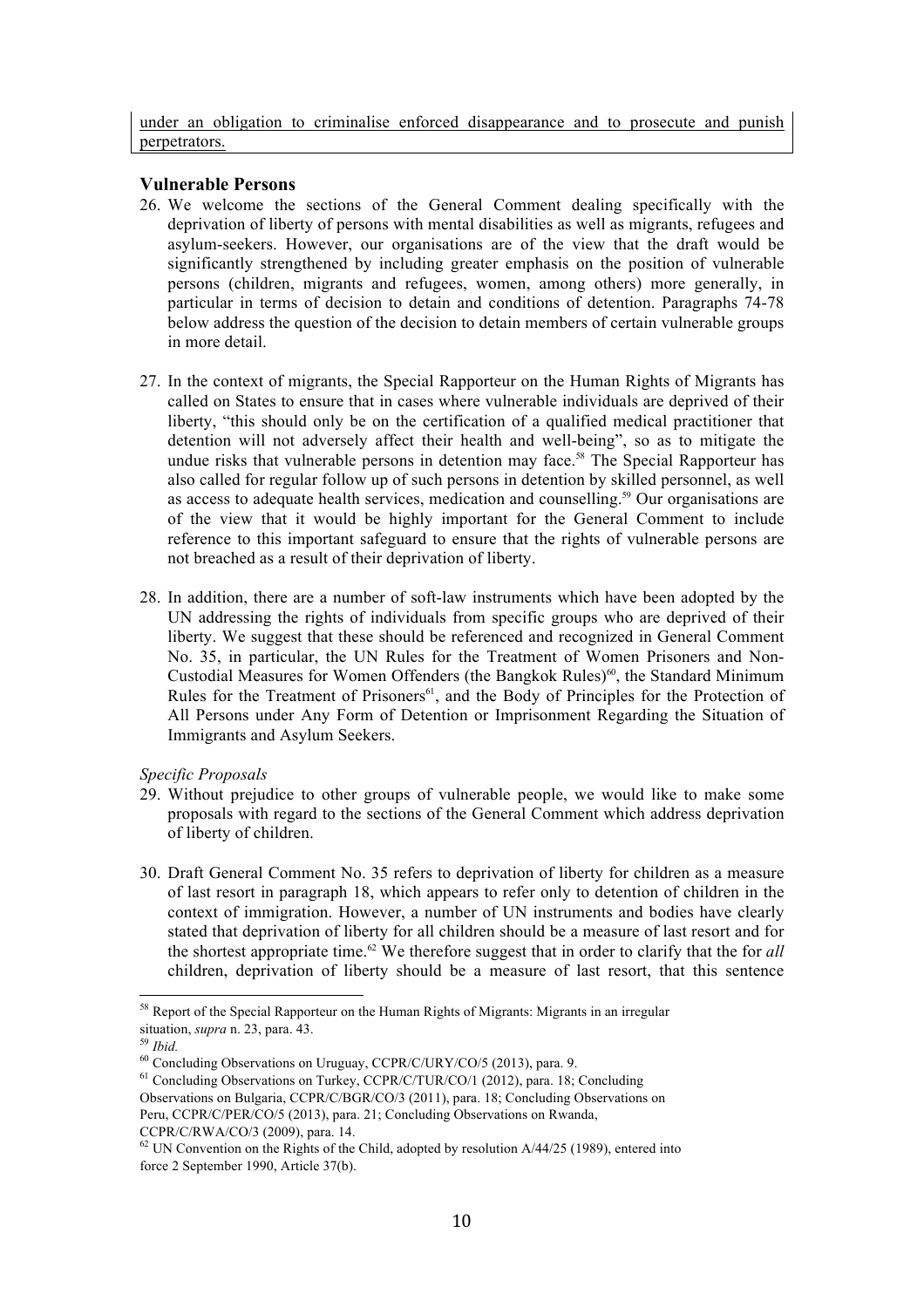under an obligation to criminalise enforced disappearance and to prosecute and punish perpetrators.

#### **Vulnerable Persons**

- 26. We welcome the sections of the General Comment dealing specifically with the deprivation of liberty of persons with mental disabilities as well as migrants, refugees and asylum-seekers. However, our organisations are of the view that the draft would be significantly strengthened by including greater emphasis on the position of vulnerable persons (children, migrants and refugees, women, among others) more generally, in particular in terms of decision to detain and conditions of detention. Paragraphs 74-78 below address the question of the decision to detain members of certain vulnerable groups in more detail.
- 27. In the context of migrants, the Special Rapporteur on the Human Rights of Migrants has called on States to ensure that in cases where vulnerable individuals are deprived of their liberty, "this should only be on the certification of a qualified medical practitioner that detention will not adversely affect their health and well-being", so as to mitigate the undue risks that vulnerable persons in detention may face.<sup>58</sup> The Special Rapporteur has also called for regular follow up of such persons in detention by skilled personnel, as well as access to adequate health services, medication and counselling.<sup>59</sup> Our organisations are of the view that it would be highly important for the General Comment to include reference to this important safeguard to ensure that the rights of vulnerable persons are not breached as a result of their deprivation of liberty.
- 28. In addition, there are a number of soft-law instruments which have been adopted by the UN addressing the rights of individuals from specific groups who are deprived of their liberty. We suggest that these should be referenced and recognized in General Comment No. 35, in particular, the UN Rules for the Treatment of Women Prisoners and Non-Custodial Measures for Women Offenders (the Bangkok Rules)<sup>60</sup>, the Standard Minimum Rules for the Treatment of Prisoners<sup>61</sup>, and the Body of Principles for the Protection of All Persons under Any Form of Detention or Imprisonment Regarding the Situation of Immigrants and Asylum Seekers.

#### *Specific Proposals*

- 29. Without prejudice to other groups of vulnerable people, we would like to make some proposals with regard to the sections of the General Comment which address deprivation of liberty of children.
- 30. Draft General Comment No. 35 refers to deprivation of liberty for children as a measure of last resort in paragraph 18, which appears to refer only to detention of children in the context of immigration. However, a number of UN instruments and bodies have clearly stated that deprivation of liberty for all children should be a measure of last resort and for the shortest appropriate time.<sup>62</sup> We therefore suggest that in order to clarify that the for *all* children, deprivation of liberty should be a measure of last resort, that this sentence

<sup>&</sup>lt;sup>58</sup> Report of the Special Rapporteur on the Human Rights of Migrants: Migrants in an irregular situation, *supra* n. 23, para. 43.

<sup>&</sup>lt;sup>59</sup> *Ibid.*<br><sup>60</sup> Concluding Observations on Uruguay, CCPR/C/URY/CO/5 (2013), para. 9.

<sup>&</sup>lt;sup>61</sup> Concluding Observations on Turkey, CCPR/C/TUR/CO/1 (2012), para. 18; Concluding Observations on Bulgaria, CCPR/C/BGR/CO/3 (2011), para. 18; Concluding Observations on Peru, CCPR/C/PER/CO/5 (2013), para. 21; Concluding Observations on Rwanda, CCPR/C/RWA/CO/3 (2009), para. 14.

 $62$  UN Convention on the Rights of the Child, adopted by resolution  $A/44/25$  (1989), entered into force 2 September 1990, Article 37(b).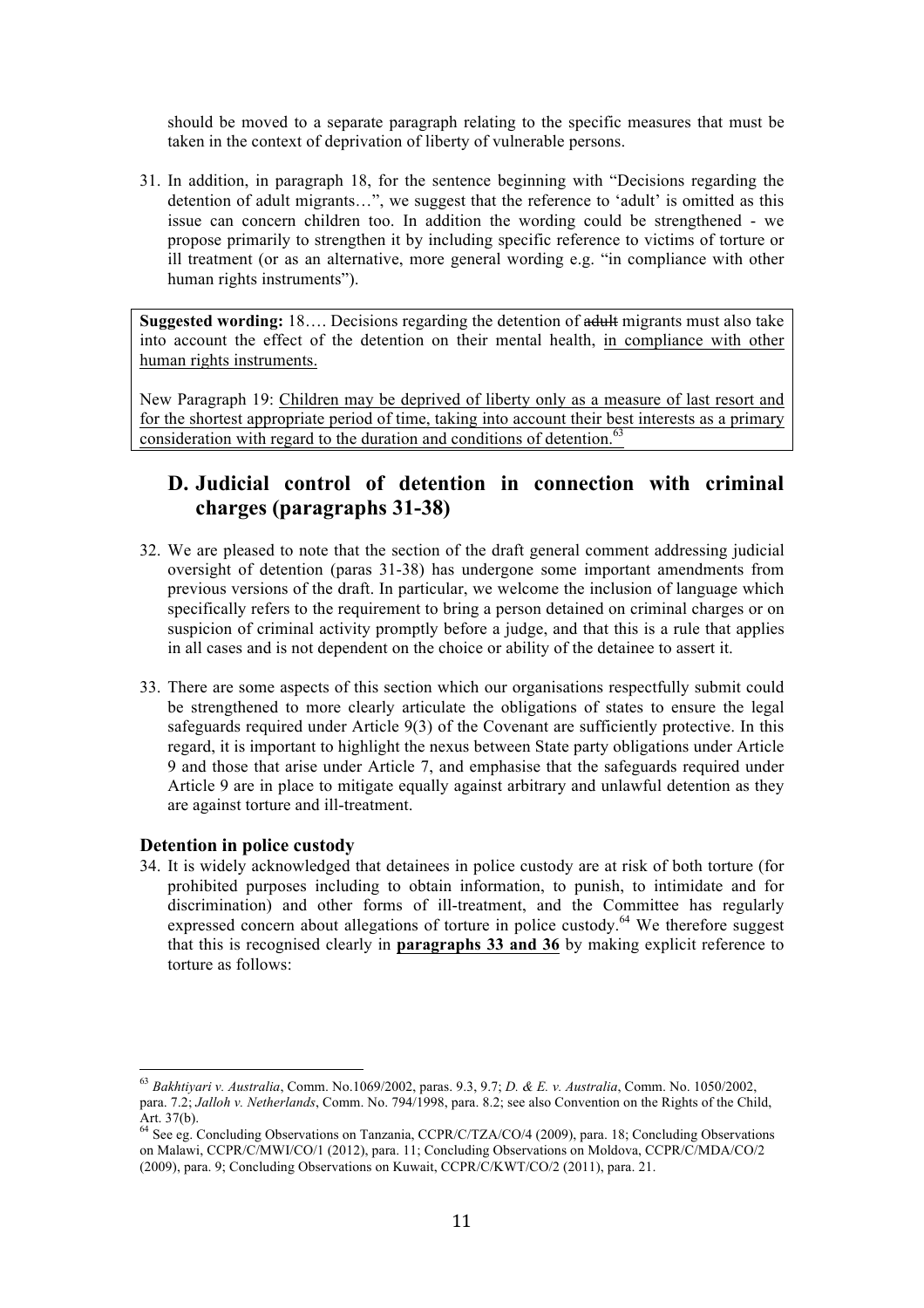should be moved to a separate paragraph relating to the specific measures that must be taken in the context of deprivation of liberty of vulnerable persons.

31. In addition, in paragraph 18, for the sentence beginning with "Decisions regarding the detention of adult migrants…", we suggest that the reference to 'adult' is omitted as this issue can concern children too. In addition the wording could be strengthened - we propose primarily to strengthen it by including specific reference to victims of torture or ill treatment (or as an alternative, more general wording e.g. "in compliance with other human rights instruments").

**Suggested wording:** 18…. Decisions regarding the detention of adult migrants must also take into account the effect of the detention on their mental health, in compliance with other human rights instruments.

New Paragraph 19: Children may be deprived of liberty only as a measure of last resort and for the shortest appropriate period of time, taking into account their best interests as a primary consideration with regard to the duration and conditions of detention.<sup>63</sup>

# **D. Judicial control of detention in connection with criminal charges (paragraphs 31-38)**

- 32. We are pleased to note that the section of the draft general comment addressing judicial oversight of detention (paras 31-38) has undergone some important amendments from previous versions of the draft. In particular, we welcome the inclusion of language which specifically refers to the requirement to bring a person detained on criminal charges or on suspicion of criminal activity promptly before a judge, and that this is a rule that applies in all cases and is not dependent on the choice or ability of the detainee to assert it.
- 33. There are some aspects of this section which our organisations respectfully submit could be strengthened to more clearly articulate the obligations of states to ensure the legal safeguards required under Article 9(3) of the Covenant are sufficiently protective. In this regard, it is important to highlight the nexus between State party obligations under Article 9 and those that arise under Article 7, and emphasise that the safeguards required under Article 9 are in place to mitigate equally against arbitrary and unlawful detention as they are against torture and ill-treatment.

### **Detention in police custody**

 

34. It is widely acknowledged that detainees in police custody are at risk of both torture (for prohibited purposes including to obtain information, to punish, to intimidate and for discrimination) and other forms of ill-treatment, and the Committee has regularly expressed concern about allegations of torture in police custody.<sup>64</sup> We therefore suggest that this is recognised clearly in **paragraphs 33 and 36** by making explicit reference to torture as follows:

<sup>63</sup> *Bakhtiyari v. Australia*, Comm. No.1069/2002, paras. 9.3, 9.7; *D. & E. v. Australia*, Comm. No. 1050/2002, para. 7.2; *Jalloh v. Netherlands*, Comm. No. 794/1998, para. 8.2; see also Convention on the Rights of the Child, Art. 37(b).

<sup>&</sup>lt;sup>64</sup> See eg. Concluding Observations on Tanzania, CCPR/C/TZA/CO/4 (2009), para. 18; Concluding Observations on Malawi, CCPR/C/MWI/CO/1 (2012), para. 11; Concluding Observations on Moldova, CCPR/C/MDA/CO/2 (2009), para. 9; Concluding Observations on Kuwait, CCPR/C/KWT/CO/2 (2011), para. 21.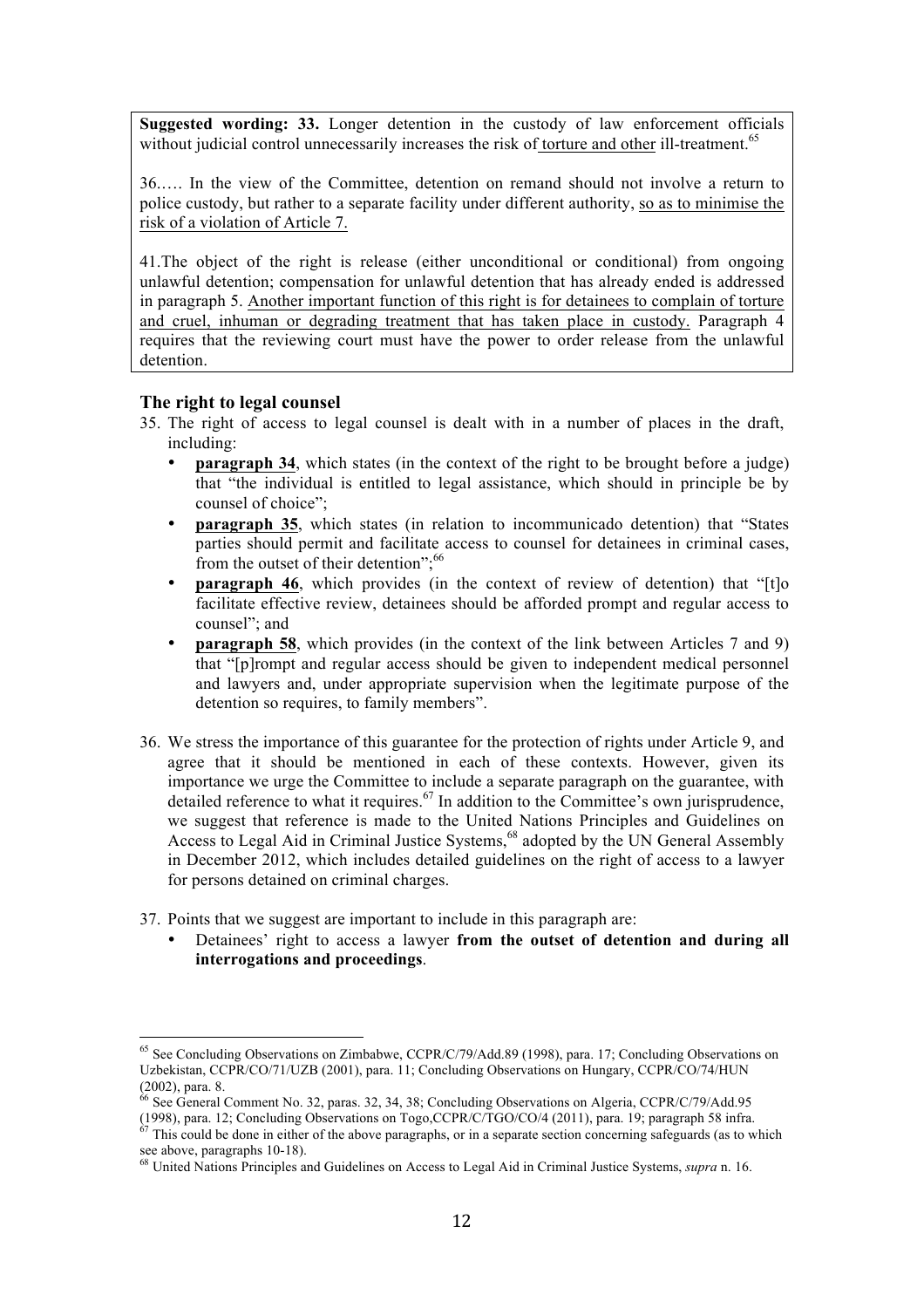**Suggested wording: 33.** Longer detention in the custody of law enforcement officials without judicial control unnecessarily increases the risk of torture and other ill-treatment.<sup>65</sup>

36.…. In the view of the Committee, detention on remand should not involve a return to police custody, but rather to a separate facility under different authority, so as to minimise the risk of a violation of Article 7.

41.The object of the right is release (either unconditional or conditional) from ongoing unlawful detention; compensation for unlawful detention that has already ended is addressed in paragraph 5. Another important function of this right is for detainees to complain of torture and cruel, inhuman or degrading treatment that has taken place in custody. Paragraph 4 requires that the reviewing court must have the power to order release from the unlawful detention.

### **The right to legal counsel**

- 35. The right of access to legal counsel is dealt with in a number of places in the draft, including:
	- **paragraph 34**, which states (in the context of the right to be brought before a judge) that "the individual is entitled to legal assistance, which should in principle be by counsel of choice";
	- **paragraph 35**, which states (in relation to incommunicado detention) that "States parties should permit and facilitate access to counsel for detainees in criminal cases, from the outset of their detention";<sup>66</sup>
	- **paragraph 46**, which provides (in the context of review of detention) that "[t]o facilitate effective review, detainees should be afforded prompt and regular access to counsel"; and
	- **paragraph 58**, which provides (in the context of the link between Articles 7 and 9) that "[p]rompt and regular access should be given to independent medical personnel and lawyers and, under appropriate supervision when the legitimate purpose of the detention so requires, to family members".
- 36. We stress the importance of this guarantee for the protection of rights under Article 9, and agree that it should be mentioned in each of these contexts. However, given its importance we urge the Committee to include a separate paragraph on the guarantee, with detailed reference to what it requires.<sup>67</sup> In addition to the Committee's own jurisprudence, we suggest that reference is made to the United Nations Principles and Guidelines on Access to Legal Aid in Criminal Justice Systems, <sup>68</sup> adopted by the UN General Assembly in December 2012, which includes detailed guidelines on the right of access to a lawyer for persons detained on criminal charges.
- 37. Points that we suggest are important to include in this paragraph are:
	- Detainees' right to access a lawyer **from the outset of detention and during all interrogations and proceedings**.

<sup>&</sup>lt;sup>65</sup> See Concluding Observations on Zimbabwe, CCPR/C/79/Add.89 (1998), para. 17; Concluding Observations on Uzbekistan, CCPR/CO/71/UZB (2001), para. 11; Concluding Observations on Hungary, CCPR/CO/74/HUN

<sup>(2002),</sup> para. 8.<br><sup>66</sup> See General Comment No. 32, paras. 32, 34, 38; Concluding Observations on Algeria, CCPR/C/79/Add.95 (1998), para. 12; Concluding Observations on Togo,CCPR/C/TGO/CO/4 (2011), para. 19; paragraph 58 infra.  $\frac{67}{1000}$  This could be done in either of the above paragraphs, or in a separate section concerning safeguards (a

see above, paragraphs 10-18).<br><sup>68</sup> United Nations Principles and Guidelines on Access to Legal Aid in Criminal Justice Systems, *supra* n. 16.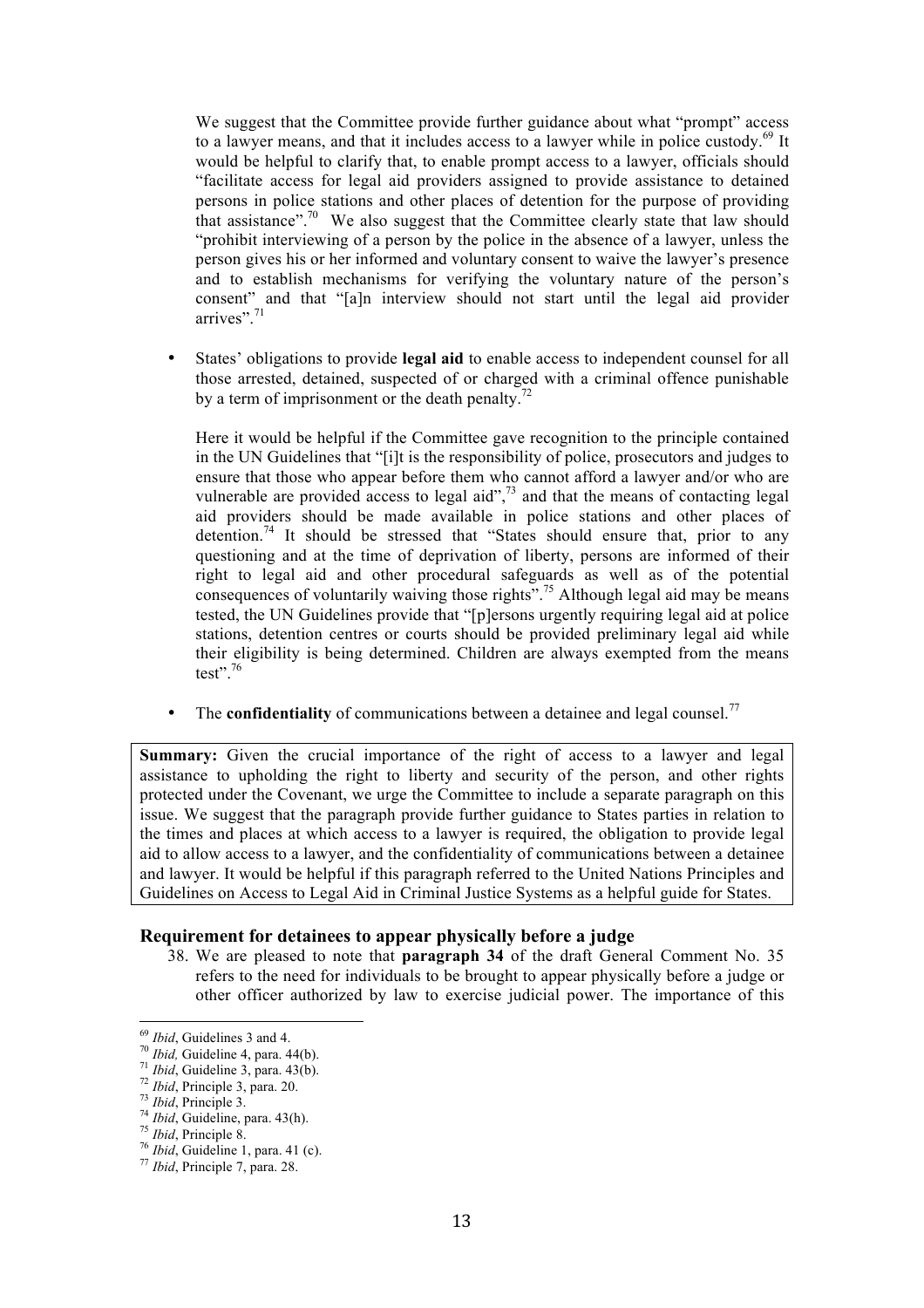We suggest that the Committee provide further guidance about what "prompt" access to a lawyer means, and that it includes access to a lawyer while in police custody. $69$  It would be helpful to clarify that, to enable prompt access to a lawyer, officials should "facilitate access for legal aid providers assigned to provide assistance to detained persons in police stations and other places of detention for the purpose of providing that assistance".<sup>70</sup> We also suggest that the Committee clearly state that law should "prohibit interviewing of a person by the police in the absence of a lawyer, unless the person gives his or her informed and voluntary consent to waive the lawyer's presence and to establish mechanisms for verifying the voluntary nature of the person's consent" and that "[a]n interview should not start until the legal aid provider arrives".<sup>71</sup>

• States' obligations to provide **legal aid** to enable access to independent counsel for all those arrested, detained, suspected of or charged with a criminal offence punishable by a term of imprisonment or the death penalty.<sup>72</sup>

Here it would be helpful if the Committee gave recognition to the principle contained in the UN Guidelines that "[i]t is the responsibility of police, prosecutors and judges to ensure that those who appear before them who cannot afford a lawyer and/or who are vulnerable are provided access to legal aid",<sup>73</sup> and that the means of contacting legal aid providers should be made available in police stations and other places of detention.<sup>74</sup> It should be stressed that "States should ensure that, prior to any questioning and at the time of deprivation of liberty, persons are informed of their right to legal aid and other procedural safeguards as well as of the potential consequences of voluntarily waiving those rights".<sup>75</sup> Although legal aid may be means tested, the UN Guidelines provide that "[p]ersons urgently requiring legal aid at police stations, detention centres or courts should be provided preliminary legal aid while their eligibility is being determined. Children are always exempted from the means test".76

• The **confidentiality** of communications between a detainee and legal counsel.<sup>77</sup>

**Summary:** Given the crucial importance of the right of access to a lawyer and legal assistance to upholding the right to liberty and security of the person, and other rights protected under the Covenant, we urge the Committee to include a separate paragraph on this issue. We suggest that the paragraph provide further guidance to States parties in relation to the times and places at which access to a lawyer is required, the obligation to provide legal aid to allow access to a lawyer, and the confidentiality of communications between a detainee and lawyer. It would be helpful if this paragraph referred to the United Nations Principles and Guidelines on Access to Legal Aid in Criminal Justice Systems as a helpful guide for States.

### **Requirement for detainees to appear physically before a judge**

38. We are pleased to note that **paragraph 34** of the draft General Comment No. 35 refers to the need for individuals to be brought to appear physically before a judge or other officer authorized by law to exercise judicial power. The importance of this

<sup>&</sup>lt;sup>69</sup> *Ibid*, Guidelines 3 and 4.<br>
<sup>70</sup> *Ibid*, Guideline 4, para. 44(b).<br>
<sup>71</sup> *Ibid*, Guideline 3, para. 43(b).<br>
<sup>72</sup> *Ibid*, Principle 3, para. 20.<br>
<sup>73</sup> *Ibid*, Principle 3.<br>
<sup>74</sup> *Ibid*, Guideline, para. 43(h).<br>
<sup>75</sup>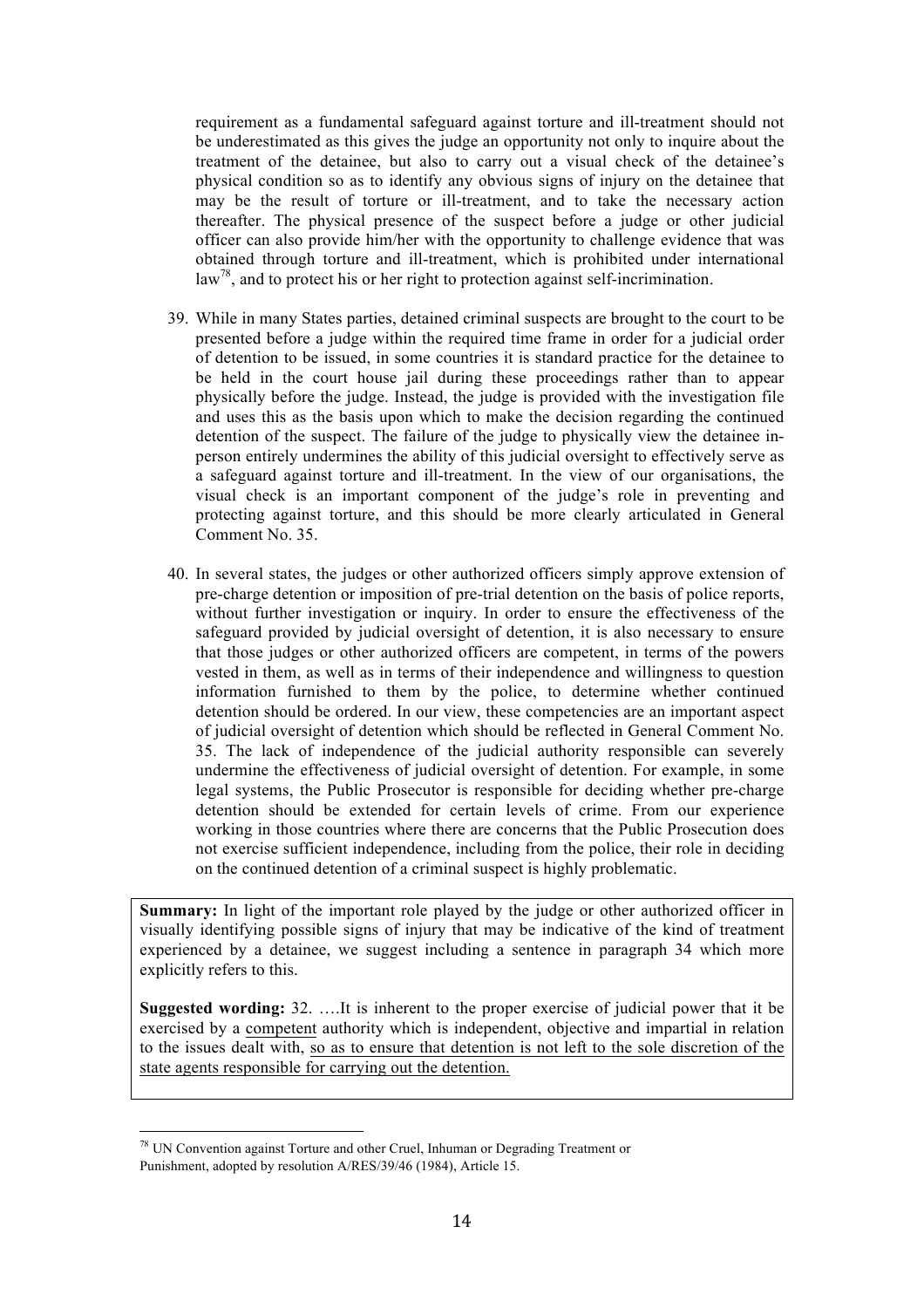requirement as a fundamental safeguard against torture and ill-treatment should not be underestimated as this gives the judge an opportunity not only to inquire about the treatment of the detainee, but also to carry out a visual check of the detainee's physical condition so as to identify any obvious signs of injury on the detainee that may be the result of torture or ill-treatment, and to take the necessary action thereafter. The physical presence of the suspect before a judge or other judicial officer can also provide him/her with the opportunity to challenge evidence that was obtained through torture and ill-treatment, which is prohibited under international  $\text{law}^{78}$ , and to protect his or her right to protection against self-incrimination.

- 39. While in many States parties, detained criminal suspects are brought to the court to be presented before a judge within the required time frame in order for a judicial order of detention to be issued, in some countries it is standard practice for the detainee to be held in the court house jail during these proceedings rather than to appear physically before the judge. Instead, the judge is provided with the investigation file and uses this as the basis upon which to make the decision regarding the continued detention of the suspect. The failure of the judge to physically view the detainee inperson entirely undermines the ability of this judicial oversight to effectively serve as a safeguard against torture and ill-treatment. In the view of our organisations, the visual check is an important component of the judge's role in preventing and protecting against torture, and this should be more clearly articulated in General Comment No. 35.
- 40. In several states, the judges or other authorized officers simply approve extension of pre-charge detention or imposition of pre-trial detention on the basis of police reports, without further investigation or inquiry. In order to ensure the effectiveness of the safeguard provided by judicial oversight of detention, it is also necessary to ensure that those judges or other authorized officers are competent, in terms of the powers vested in them, as well as in terms of their independence and willingness to question information furnished to them by the police, to determine whether continued detention should be ordered. In our view, these competencies are an important aspect of judicial oversight of detention which should be reflected in General Comment No. 35. The lack of independence of the judicial authority responsible can severely undermine the effectiveness of judicial oversight of detention. For example, in some legal systems, the Public Prosecutor is responsible for deciding whether pre-charge detention should be extended for certain levels of crime. From our experience working in those countries where there are concerns that the Public Prosecution does not exercise sufficient independence, including from the police, their role in deciding on the continued detention of a criminal suspect is highly problematic.

**Summary:** In light of the important role played by the judge or other authorized officer in visually identifying possible signs of injury that may be indicative of the kind of treatment experienced by a detainee, we suggest including a sentence in paragraph 34 which more explicitly refers to this.

**Suggested wording:** 32. ….It is inherent to the proper exercise of judicial power that it be exercised by a competent authority which is independent, objective and impartial in relation to the issues dealt with, so as to ensure that detention is not left to the sole discretion of the state agents responsible for carrying out the detention.

 $78$  UN Convention against Torture and other Cruel, Inhuman or Degrading Treatment or Punishment, adopted by resolution A/RES/39/46 (1984), Article 15.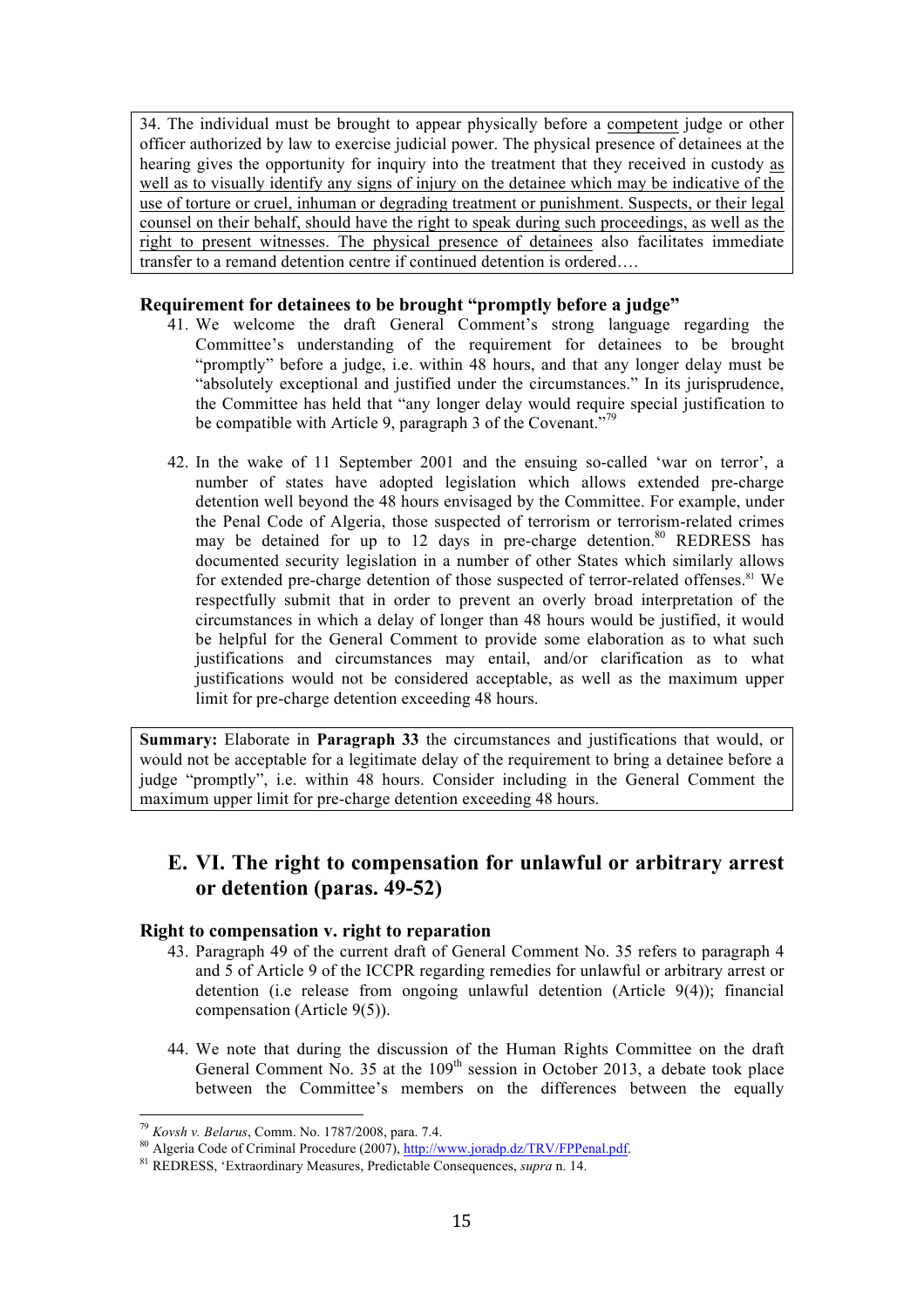34. The individual must be brought to appear physically before a competent judge or other officer authorized by law to exercise judicial power. The physical presence of detainees at the hearing gives the opportunity for inquiry into the treatment that they received in custody as well as to visually identify any signs of injury on the detainee which may be indicative of the use of torture or cruel, inhuman or degrading treatment or punishment. Suspects, or their legal counsel on their behalf, should have the right to speak during such proceedings, as well as the right to present witnesses. The physical presence of detainees also facilitates immediate transfer to a remand detention centre if continued detention is ordered….

### **Requirement for detainees to be brought "promptly before a judge"**

- 41. We welcome the draft General Comment's strong language regarding the Committee's understanding of the requirement for detainees to be brought "promptly" before a judge, i.e. within 48 hours, and that any longer delay must be "absolutely exceptional and justified under the circumstances." In its jurisprudence, the Committee has held that "any longer delay would require special justification to be compatible with Article 9, paragraph 3 of the Covenant."<sup>79</sup>
- 42. In the wake of 11 September 2001 and the ensuing so-called 'war on terror', a number of states have adopted legislation which allows extended pre-charge detention well beyond the 48 hours envisaged by the Committee. For example, under the Penal Code of Algeria, those suspected of terrorism or terrorism-related crimes may be detained for up to 12 days in pre-charge detention.<sup>80</sup> REDRESS has documented security legislation in a number of other States which similarly allows for extended pre-charge detention of those suspected of terror-related offenses.<sup>81</sup> We respectfully submit that in order to prevent an overly broad interpretation of the circumstances in which a delay of longer than 48 hours would be justified, it would be helpful for the General Comment to provide some elaboration as to what such justifications and circumstances may entail, and/or clarification as to what justifications would not be considered acceptable, as well as the maximum upper limit for pre-charge detention exceeding 48 hours.

**Summary:** Elaborate in **Paragraph 33** the circumstances and justifications that would, or would not be acceptable for a legitimate delay of the requirement to bring a detainee before a judge "promptly", i.e. within 48 hours. Consider including in the General Comment the maximum upper limit for pre-charge detention exceeding 48 hours.

# **E. VI. The right to compensation for unlawful or arbitrary arrest or detention (paras. 49-52)**

### **Right to compensation v. right to reparation**

- 43. Paragraph 49 of the current draft of General Comment No. 35 refers to paragraph 4 and 5 of Article 9 of the ICCPR regarding remedies for unlawful or arbitrary arrest or detention (i.e release from ongoing unlawful detention (Article 9(4)); financial compensation (Article 9(5)).
- 44. We note that during the discussion of the Human Rights Committee on the draft General Comment No. 35 at the  $109<sup>th</sup>$  session in October 2013, a debate took place between the Committee's members on the differences between the equally

<sup>&</sup>lt;sup>79</sup> Kovsh v. Belarus, Comm. No. 1787/2008, para. 7.4.

<sup>80</sup> Algeria Code of Criminal Procedure (2007), http://www.joradp.dz/TRV/FPPenal.pdf.<br>81 REDRESS, 'Extraordinary Measures, Predictable Consequences, *supra* n. 14.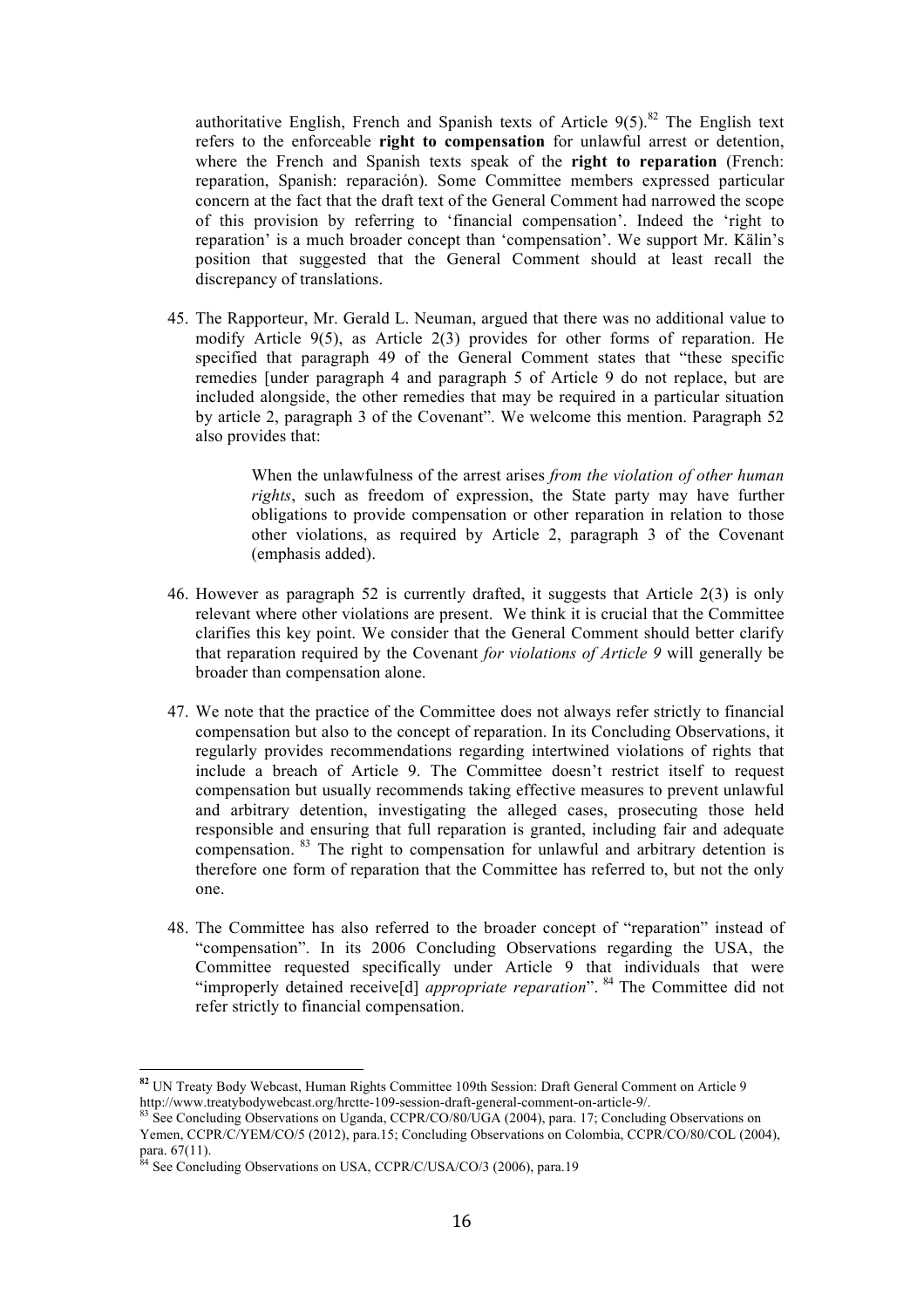authoritative English, French and Spanish texts of Article  $9(5)$ .<sup>82</sup> The English text refers to the enforceable **right to compensation** for unlawful arrest or detention, where the French and Spanish texts speak of the **right to reparation** (French: reparation, Spanish: reparación). Some Committee members expressed particular concern at the fact that the draft text of the General Comment had narrowed the scope of this provision by referring to 'financial compensation'. Indeed the 'right to reparation' is a much broader concept than 'compensation'. We support Mr. Kälin's position that suggested that the General Comment should at least recall the discrepancy of translations.

45. The Rapporteur, Mr. Gerald L. Neuman, argued that there was no additional value to modify Article 9(5), as Article 2(3) provides for other forms of reparation. He specified that paragraph 49 of the General Comment states that "these specific remedies [under paragraph 4 and paragraph 5 of Article 9 do not replace, but are included alongside, the other remedies that may be required in a particular situation by article 2, paragraph 3 of the Covenant". We welcome this mention. Paragraph 52 also provides that:

> When the unlawfulness of the arrest arises *from the violation of other human rights*, such as freedom of expression, the State party may have further obligations to provide compensation or other reparation in relation to those other violations, as required by Article 2, paragraph 3 of the Covenant (emphasis added).

- 46. However as paragraph 52 is currently drafted, it suggests that Article 2(3) is only relevant where other violations are present. We think it is crucial that the Committee clarifies this key point. We consider that the General Comment should better clarify that reparation required by the Covenant *for violations of Article 9* will generally be broader than compensation alone.
- 47. We note that the practice of the Committee does not always refer strictly to financial compensation but also to the concept of reparation. In its Concluding Observations, it regularly provides recommendations regarding intertwined violations of rights that include a breach of Article 9. The Committee doesn't restrict itself to request compensation but usually recommends taking effective measures to prevent unlawful and arbitrary detention, investigating the alleged cases, prosecuting those held responsible and ensuring that full reparation is granted, including fair and adequate compensation. <sup>83</sup> The right to compensation for unlawful and arbitrary detention is therefore one form of reparation that the Committee has referred to, but not the only one.
- 48. The Committee has also referred to the broader concept of "reparation" instead of "compensation". In its 2006 Concluding Observations regarding the USA, the Committee requested specifically under Article 9 that individuals that were "improperly detained receive[d] *appropriate reparation*". <sup>84</sup> The Committee did not refer strictly to financial compensation.

**<sup>82</sup>** UN Treaty Body Webcast, Human Rights Committee 109th Session: Draft General Comment on Article 9 http://www.treatybodywebcast.org/hrctte-109-session-draft-general-comment-on-article-9/.<br><sup>83</sup> See Concluding Observations on Uganda, CCPR/CO/80/UGA (2004), para. 17; Concluding Observations on

Yemen, CCPR/C/YEM/CO/5 (2012), para.15; Concluding Observations on Colombia, CCPR/CO/80/COL (2004), para. 67(11).<br><sup>84</sup> See Concluding Observations on USA, CCPR/C/USA/CO/3 (2006), para.19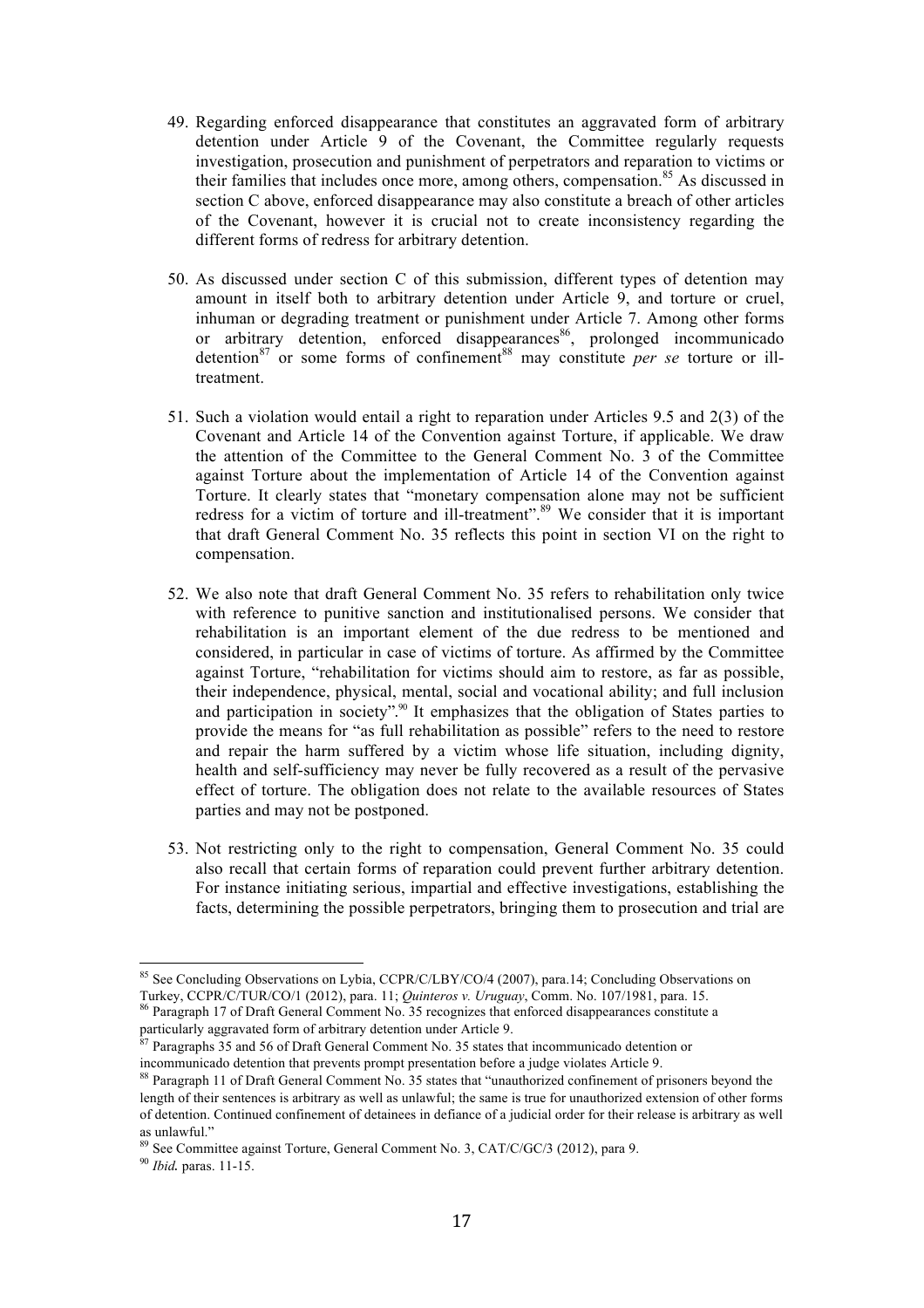- 49. Regarding enforced disappearance that constitutes an aggravated form of arbitrary detention under Article 9 of the Covenant, the Committee regularly requests investigation, prosecution and punishment of perpetrators and reparation to victims or their families that includes once more, among others, compensation.<sup>85</sup> As discussed in section C above, enforced disappearance may also constitute a breach of other articles of the Covenant, however it is crucial not to create inconsistency regarding the different forms of redress for arbitrary detention.
- 50. As discussed under section C of this submission, different types of detention may amount in itself both to arbitrary detention under Article 9, and torture or cruel, inhuman or degrading treatment or punishment under Article 7. Among other forms or arbitrary detention, enforced disappearances<sup>86</sup>, prolonged incommunicado detention<sup>87</sup> or some forms of confinement<sup>88</sup> may constitute *per se* torture or illtreatment.
- 51. Such a violation would entail a right to reparation under Articles 9.5 and 2(3) of the Covenant and Article 14 of the Convention against Torture, if applicable. We draw the attention of the Committee to the General Comment No. 3 of the Committee against Torture about the implementation of Article 14 of the Convention against Torture. It clearly states that "monetary compensation alone may not be sufficient redress for a victim of torture and ill-treatment".<sup>89</sup> We consider that it is important that draft General Comment No. 35 reflects this point in section VI on the right to compensation.
- 52. We also note that draft General Comment No. 35 refers to rehabilitation only twice with reference to punitive sanction and institutionalised persons. We consider that rehabilitation is an important element of the due redress to be mentioned and considered, in particular in case of victims of torture. As affirmed by the Committee against Torture, "rehabilitation for victims should aim to restore, as far as possible, their independence, physical, mental, social and vocational ability; and full inclusion and participation in society". <sup>90</sup> It emphasizes that the obligation of States parties to provide the means for "as full rehabilitation as possible" refers to the need to restore and repair the harm suffered by a victim whose life situation, including dignity, health and self-sufficiency may never be fully recovered as a result of the pervasive effect of torture. The obligation does not relate to the available resources of States parties and may not be postponed.
- 53. Not restricting only to the right to compensation, General Comment No. 35 could also recall that certain forms of reparation could prevent further arbitrary detention. For instance initiating serious, impartial and effective investigations, establishing the facts, determining the possible perpetrators, bringing them to prosecution and trial are

<sup>&</sup>lt;sup>85</sup> See Concluding Observations on Lybia, CCPR/C/LBY/CO/4 (2007), para.14; Concluding Observations on Turkey, CCPR/C/TUR/CO/1 (2012), para. 11; *Quinteros v. Uruguay*, Comm. No. 107/1981, para. 15.

Paragraph 17 of Draft General Comment No. 35 recognizes that enforced disappearances constitute a particularly aggravated form of arbitrary detention under Article 9.

<sup>87</sup> Paragraphs 35 and 56 of Draft General Comment No. 35 states that incommunicado detention or incommunicado detention that prevents prompt presentation before a judge violates Article 9.

<sup>88</sup> Paragraph 11 of Draft General Comment No. 35 states that "unauthorized confinement of prisoners beyond the length of their sentences is arbitrary as well as unlawful; the same is true for unauthorized extension of other forms of detention. Continued confinement of detainees in defiance of a judicial order for their release is arbitrary as well as unlawful."

<sup>89</sup> See Committee against Torture, General Comment No. 3, CAT/C/GC/3 (2012), para 9.

<sup>90</sup> *Ibid*. paras. 11-15.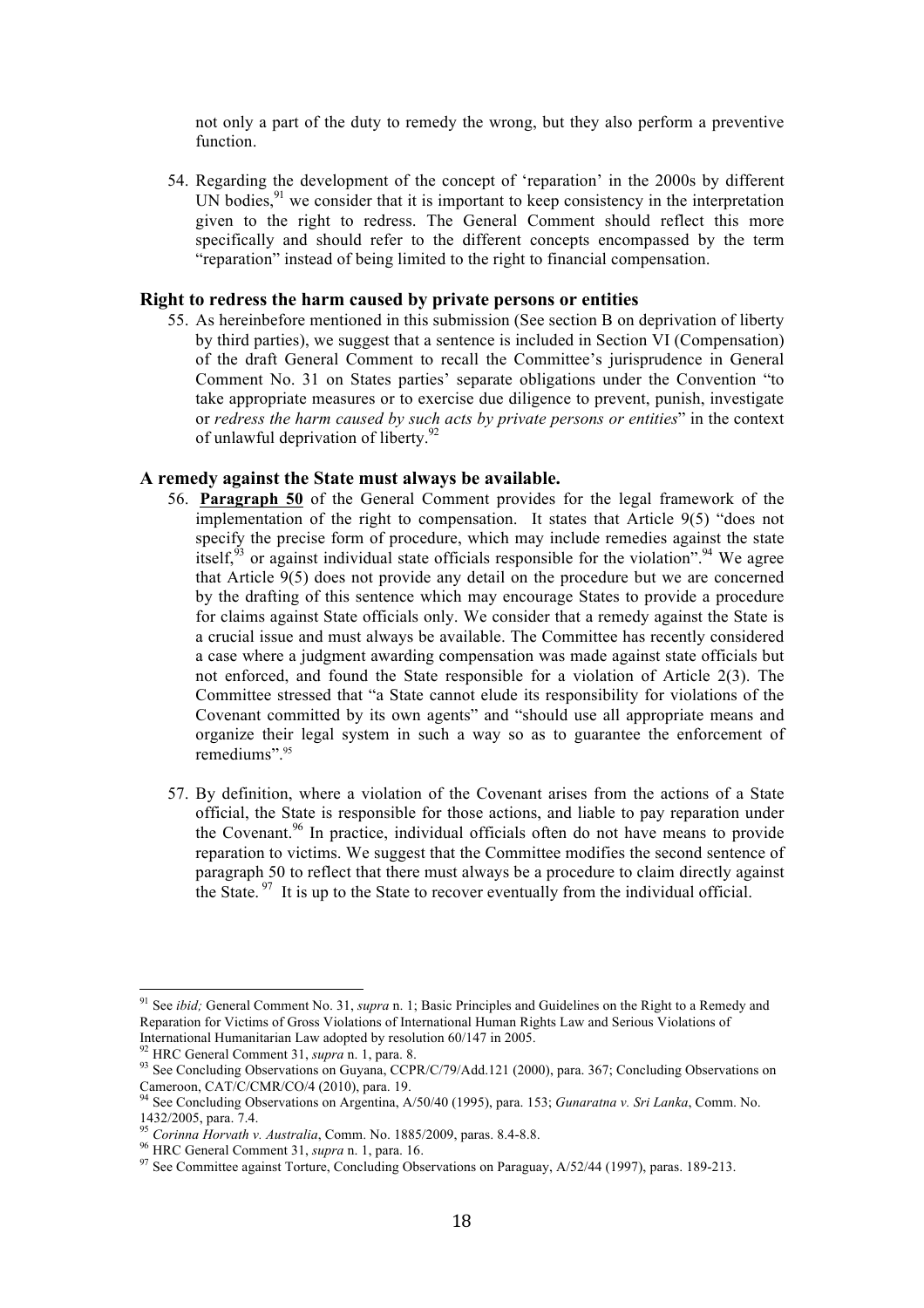not only a part of the duty to remedy the wrong, but they also perform a preventive function.

54. Regarding the development of the concept of 'reparation' in the 2000s by different UN bodies,<sup>91</sup> we consider that it is important to keep consistency in the interpretation given to the right to redress. The General Comment should reflect this more specifically and should refer to the different concepts encompassed by the term "reparation" instead of being limited to the right to financial compensation.

### **Right to redress the harm caused by private persons or entities**

55. As hereinbefore mentioned in this submission (See section B on deprivation of liberty by third parties), we suggest that a sentence is included in Section VI (Compensation) of the draft General Comment to recall the Committee's jurisprudence in General Comment No. 31 on States parties' separate obligations under the Convention "to take appropriate measures or to exercise due diligence to prevent, punish, investigate or *redress the harm caused by such acts by private persons or entities*" in the context of unlawful deprivation of liberty.<sup>92</sup>

#### **A remedy against the State must always be available.**

- 56. **Paragraph 50** of the General Comment provides for the legal framework of the implementation of the right to compensation. It states that Article 9(5) "does not specify the precise form of procedure, which may include remedies against the state itself,<sup>93</sup> or against individual state officials responsible for the violation".<sup>94</sup> We agree that Article 9(5) does not provide any detail on the procedure but we are concerned by the drafting of this sentence which may encourage States to provide a procedure for claims against State officials only. We consider that a remedy against the State is a crucial issue and must always be available. The Committee has recently considered a case where a judgment awarding compensation was made against state officials but not enforced, and found the State responsible for a violation of Article 2(3). The Committee stressed that "a State cannot elude its responsibility for violations of the Covenant committed by its own agents" and "should use all appropriate means and organize their legal system in such a way so as to guarantee the enforcement of remediums". 95
- 57. By definition, where a violation of the Covenant arises from the actions of a State official, the State is responsible for those actions, and liable to pay reparation under the Covenant.<sup>96</sup> In practice, individual officials often do not have means to provide reparation to victims. We suggest that the Committee modifies the second sentence of paragraph 50 to reflect that there must always be a procedure to claim directly against the State.  $\frac{97}{11}$  It is up to the State to recover eventually from the individual official.

 <sup>91</sup> See *ibid;* General Comment No. 31, *supra* n. 1; Basic Principles and Guidelines on the Right to a Remedy and Reparation for Victims of Gross Violations of International Human Rights Law and Serious Violations of

International Humanitarian Law adopted by resolution 60/147 in 2005.<br><sup>92</sup> HRC General Comment 31, *supra* n. 1, para. 8.<br><sup>93</sup> See Concluding Observations on Guyana, CCPR/C/79/Add.121 (2000), para. 367; Concluding Observati

Cameroon, CAT/C/CMR/CO/4 (2010), para. 19. <sup>94</sup> See Concluding Observations on Argentina, A/50/40 (1995), para. 153; *Gunaratna v. Sri Lanka*, Comm. No. 1432/2005, para. 7.4.<br>
<sup>95</sup> Corinna Horvath v. Australia, Comm. No. 1885/2009, paras. 8.4-8.8.<br>
<sup>96</sup> HRC General Comment 31, *supra* n. 1, para. 16.<br>
<sup>97</sup> See Committee against Torture, Concluding Observations on Paraguay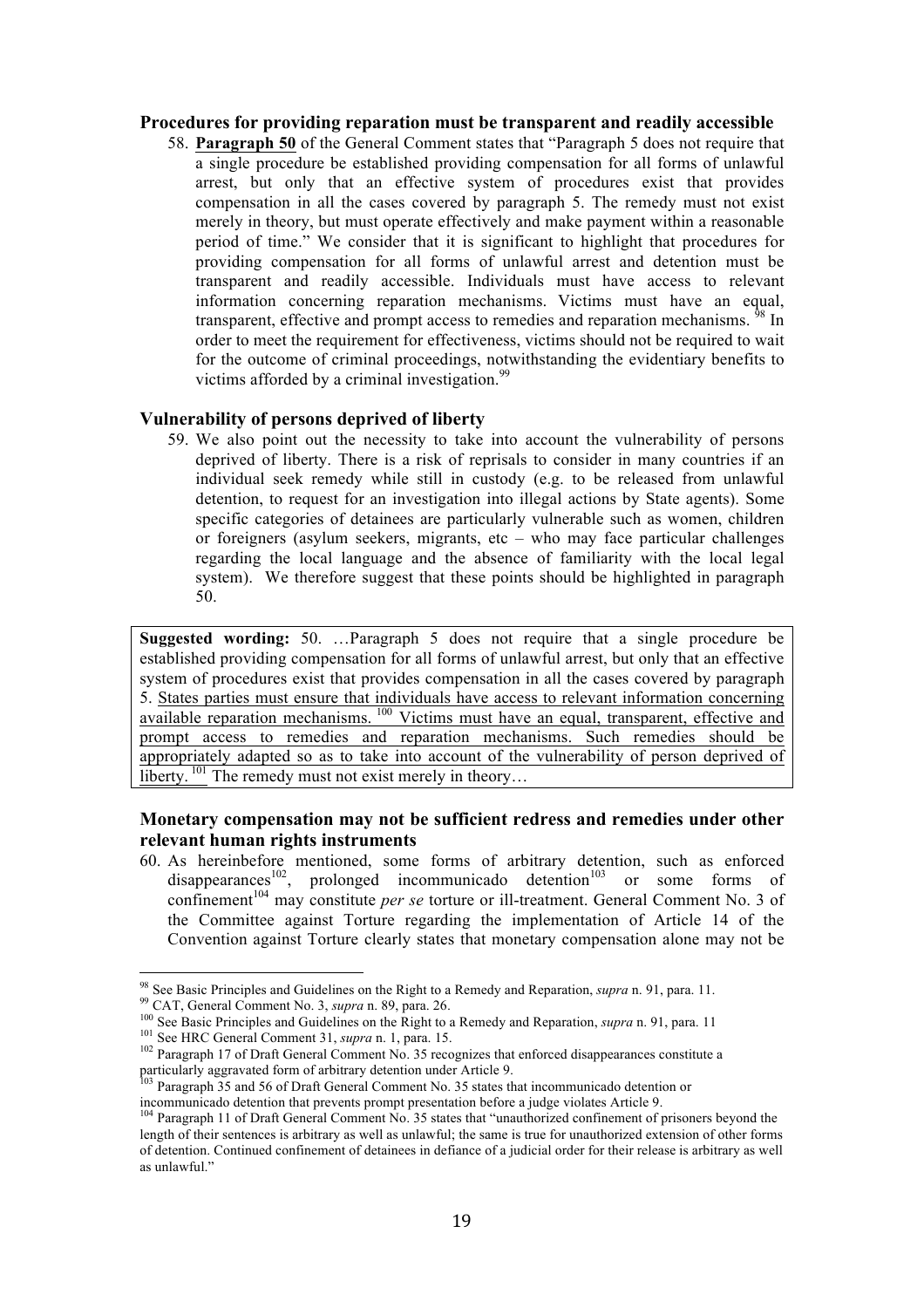### **Procedures for providing reparation must be transparent and readily accessible**

58. **Paragraph 50** of the General Comment states that "Paragraph 5 does not require that a single procedure be established providing compensation for all forms of unlawful arrest, but only that an effective system of procedures exist that provides compensation in all the cases covered by paragraph 5. The remedy must not exist merely in theory, but must operate effectively and make payment within a reasonable period of time." We consider that it is significant to highlight that procedures for providing compensation for all forms of unlawful arrest and detention must be transparent and readily accessible. Individuals must have access to relevant information concerning reparation mechanisms. Victims must have an equal, transparent, effective and prompt access to remedies and reparation mechanisms. <sup>98</sup> In order to meet the requirement for effectiveness, victims should not be required to wait for the outcome of criminal proceedings, notwithstanding the evidentiary benefits to victims afforded by a criminal investigation.<sup>99</sup>

#### **Vulnerability of persons deprived of liberty**

59. We also point out the necessity to take into account the vulnerability of persons deprived of liberty. There is a risk of reprisals to consider in many countries if an individual seek remedy while still in custody (e.g. to be released from unlawful detention, to request for an investigation into illegal actions by State agents). Some specific categories of detainees are particularly vulnerable such as women, children or foreigners (asylum seekers, migrants, etc – who may face particular challenges regarding the local language and the absence of familiarity with the local legal system). We therefore suggest that these points should be highlighted in paragraph 50.

**Suggested wording:** 50. …Paragraph 5 does not require that a single procedure be established providing compensation for all forms of unlawful arrest, but only that an effective system of procedures exist that provides compensation in all the cases covered by paragraph 5. States parties must ensure that individuals have access to relevant information concerning available reparation mechanisms.<sup>100</sup> Victims must have an equal, transparent, effective and prompt access to remedies and reparation mechanisms. Such remedies should be appropriately adapted so as to take into account of the vulnerability of person deprived of liberty. <sup>101</sup> The remedy must not exist merely in theory...

### **Monetary compensation may not be sufficient redress and remedies under other relevant human rights instruments**

60. As hereinbefore mentioned, some forms of arbitrary detention, such as enforced disappearances<sup>102</sup>, prolonged incommunicado detention<sup>103</sup> or some forms of confinement<sup>104</sup> may constitute *per se* torture or ill-treatment. General Comment No. 3 of the Committee against Torture regarding the implementation of Article 14 of the Convention against Torture clearly states that monetary compensation alone may not be

<sup>&</sup>lt;sup>98</sup> See Basic Principles and Guidelines on the Right to a Remedy and Reparation, *supra* n. 91, para. 11.<br><sup>99</sup> CAT, General Comment No. 3, *supra* n. 89, para. 26.<br><sup>100</sup> See Basic Principles and Guidelines on the Right t

Paragraph 35 and 56 of Draft General Comment No. 35 states that incommunicado detention or incommunicado detention that prevents prompt presentation before a judge violates Article 9.<br><sup>104</sup> Paragraph 11 of Draft General Comment No. 35 states that "unauthorized confinement of prisoners beyond the

length of their sentences is arbitrary as well as unlawful; the same is true for unauthorized extension of other forms of detention. Continued confinement of detainees in defiance of a judicial order for their release is arbitrary as well as unlawful."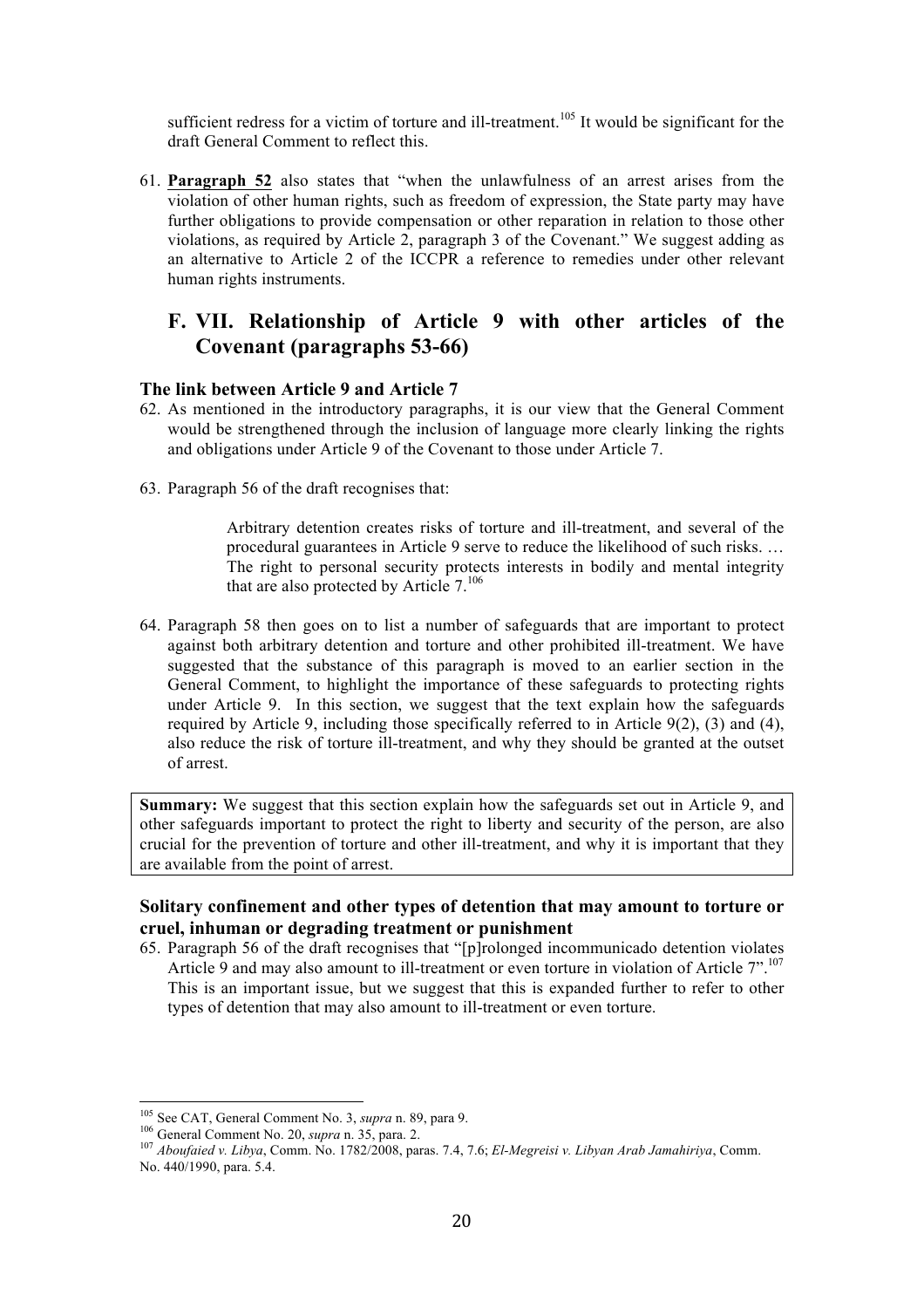sufficient redress for a victim of torture and ill-treatment.<sup>105</sup> It would be significant for the draft General Comment to reflect this.

61. **Paragraph 52** also states that "when the unlawfulness of an arrest arises from the violation of other human rights, such as freedom of expression, the State party may have further obligations to provide compensation or other reparation in relation to those other violations, as required by Article 2, paragraph 3 of the Covenant." We suggest adding as an alternative to Article 2 of the ICCPR a reference to remedies under other relevant human rights instruments.

## **F. VII. Relationship of Article 9 with other articles of the Covenant (paragraphs 53-66)**

### **The link between Article 9 and Article 7**

- 62. As mentioned in the introductory paragraphs, it is our view that the General Comment would be strengthened through the inclusion of language more clearly linking the rights and obligations under Article 9 of the Covenant to those under Article 7.
- 63. Paragraph 56 of the draft recognises that:

Arbitrary detention creates risks of torture and ill-treatment, and several of the procedural guarantees in Article 9 serve to reduce the likelihood of such risks. … The right to personal security protects interests in bodily and mental integrity that are also protected by Article  $7^{106}$ 

64. Paragraph 58 then goes on to list a number of safeguards that are important to protect against both arbitrary detention and torture and other prohibited ill-treatment. We have suggested that the substance of this paragraph is moved to an earlier section in the General Comment, to highlight the importance of these safeguards to protecting rights under Article 9. In this section, we suggest that the text explain how the safeguards required by Article 9, including those specifically referred to in Article 9(2), (3) and (4), also reduce the risk of torture ill-treatment, and why they should be granted at the outset of arrest.

**Summary:** We suggest that this section explain how the safeguards set out in Article 9, and other safeguards important to protect the right to liberty and security of the person, are also crucial for the prevention of torture and other ill-treatment, and why it is important that they are available from the point of arrest.

### **Solitary confinement and other types of detention that may amount to torture or cruel, inhuman or degrading treatment or punishment**

65. Paragraph 56 of the draft recognises that "[p]rolonged incommunicado detention violates Article 9 and may also amount to ill-treatment or even torture in violation of Article 7".<sup>107</sup> This is an important issue, but we suggest that this is expanded further to refer to other types of detention that may also amount to ill-treatment or even torture.

<sup>&</sup>lt;sup>105</sup> See CAT, General Comment No. 3, *supra* n. 89, para 9.<br><sup>106</sup> General Comment No. 20, *supra* n. 35, para. 2.<br><sup>107</sup> Aboufaied v. Libya, Comm. No. 1782/2008, paras. 7.4, 7.6; *El-Megreisi v. Libyan Arab Jamahiriya*, C No. 440/1990, para. 5.4.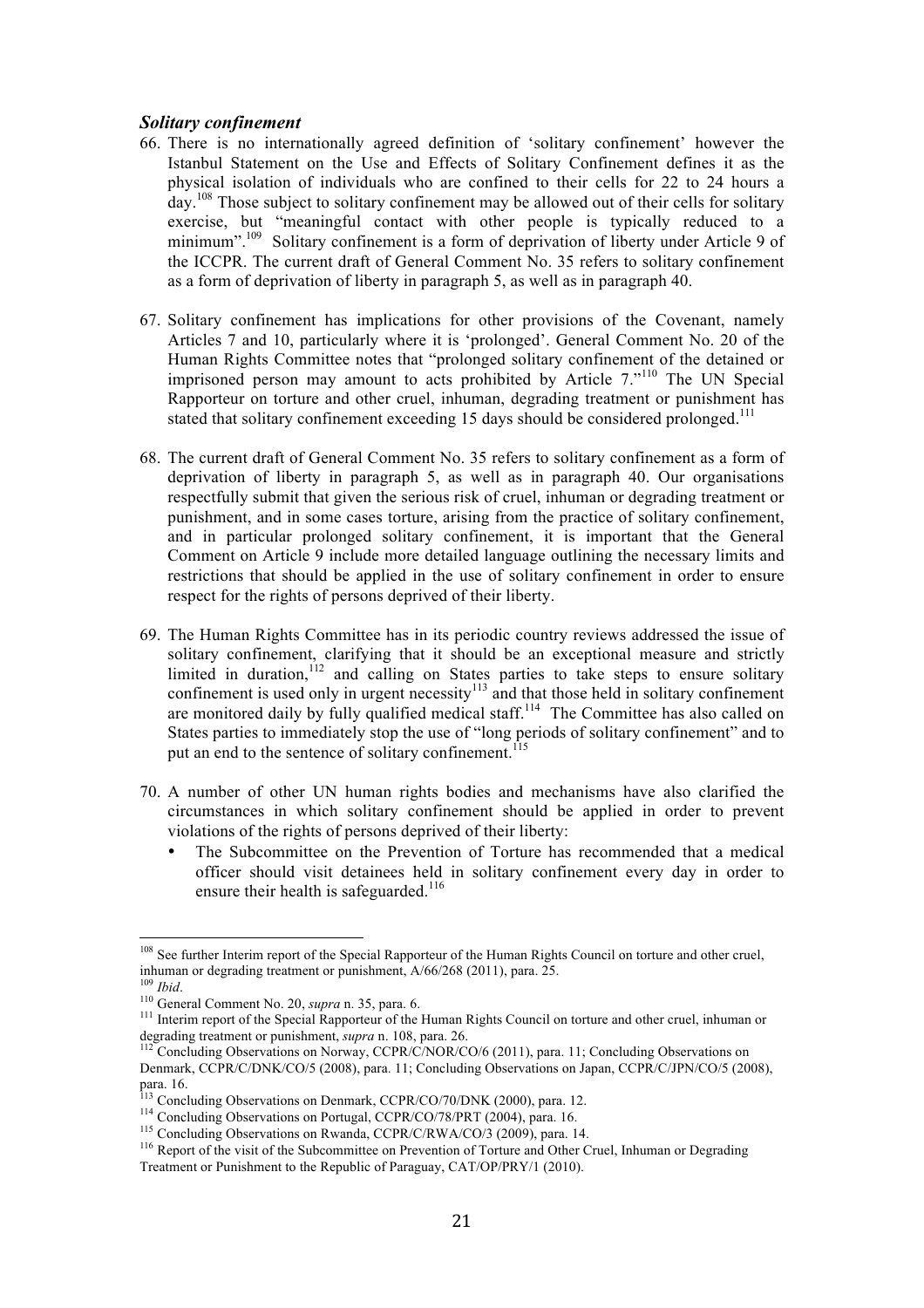#### *Solitary confinement*

- 66. There is no internationally agreed definition of 'solitary confinement' however the Istanbul Statement on the Use and Effects of Solitary Confinement defines it as the physical isolation of individuals who are confined to their cells for 22 to 24 hours a day.<sup>108</sup> Those subject to solitary confinement may be allowed out of their cells for solitary exercise, but "meaningful contact with other people is typically reduced to a minimum".<sup>109</sup> Solitary confinement is a form of deprivation of liberty under Article 9 of the ICCPR. The current draft of General Comment No. 35 refers to solitary confinement as a form of deprivation of liberty in paragraph 5, as well as in paragraph 40.
- 67. Solitary confinement has implications for other provisions of the Covenant, namely Articles 7 and 10, particularly where it is 'prolonged'. General Comment No. 20 of the Human Rights Committee notes that "prolonged solitary confinement of the detained or imprisoned person may amount to acts prohibited by Article 7."<sup>110</sup> The UN Special Rapporteur on torture and other cruel, inhuman, degrading treatment or punishment has stated that solitary confinement exceeding 15 days should be considered prolonged.<sup>111</sup>
- 68. The current draft of General Comment No. 35 refers to solitary confinement as a form of deprivation of liberty in paragraph 5, as well as in paragraph 40. Our organisations respectfully submit that given the serious risk of cruel, inhuman or degrading treatment or punishment, and in some cases torture, arising from the practice of solitary confinement, and in particular prolonged solitary confinement, it is important that the General Comment on Article 9 include more detailed language outlining the necessary limits and restrictions that should be applied in the use of solitary confinement in order to ensure respect for the rights of persons deprived of their liberty.
- 69. The Human Rights Committee has in its periodic country reviews addressed the issue of solitary confinement, clarifying that it should be an exceptional measure and strictly limited in duration,<sup>112</sup> and calling on States parties to take steps to ensure solitary confinement is used only in urgent necessity $113$  and that those held in solitary confinement are monitored daily by fully qualified medical staff.<sup>114</sup> The Committee has also called on States parties to immediately stop the use of "long periods of solitary confinement" and to put an end to the sentence of solitary confinement.<sup>1</sup>
- 70. A number of other UN human rights bodies and mechanisms have also clarified the circumstances in which solitary confinement should be applied in order to prevent violations of the rights of persons deprived of their liberty:
	- The Subcommittee on the Prevention of Torture has recommended that a medical officer should visit detainees held in solitary confinement every day in order to ensure their health is safeguarded.<sup>116</sup>

<sup>&</sup>lt;sup>108</sup> See further Interim report of the Special Rapporteur of the Human Rights Council on torture and other cruel, inhuman or degrading treatment or punishment, A/66/268 (2011), para. 25. <sup>109</sup> *Ibid*.

<sup>111</sup> Interim report of the Special Rapporteur of the Human Rights Council on torture and other cruel, inhuman or degrading treatment or punishment, *supra* n. 108, para. 26.

and *n*. 26. 112 Concluding Observations on Norway, CCPR/C/NOR/CO/6 (2011), para. 11; Concluding Observations on Denmark, CCPR/C/DNK/CO/5 (2008), para. 11; Concluding Observations on Japan, CCPR/C/JPN/CO/5 (2008), para. 16.<br><sup>113</sup> Concluding Observations on Denmark, CCPR/CO/70/DNK (2000), para. 12.

<sup>&</sup>lt;sup>114</sup> Concluding Observations on Portugal, CCPR/CO/78/PRT (2004), para. 16.<br><sup>115</sup> Concluding Observations on Rwanda, CCPR/C/RWA/CO/3 (2009), para. 14.<br><sup>116</sup> Report of the visit of the Subcommittee on Prevention of Torture Treatment or Punishment to the Republic of Paraguay, CAT/OP/PRY/1 (2010).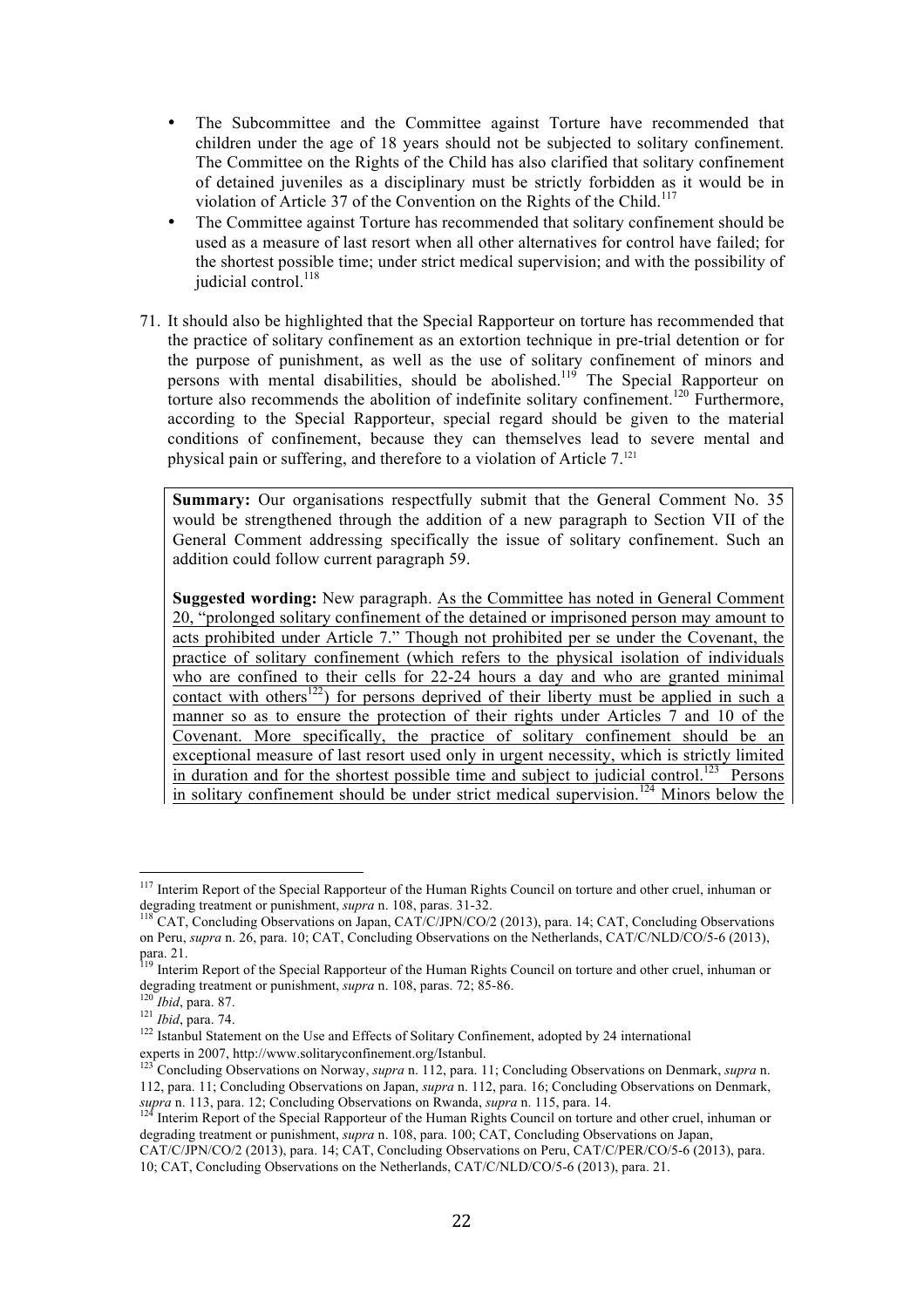- The Subcommittee and the Committee against Torture have recommended that children under the age of 18 years should not be subjected to solitary confinement. The Committee on the Rights of the Child has also clarified that solitary confinement of detained juveniles as a disciplinary must be strictly forbidden as it would be in violation of Article 37 of the Convention on the Rights of the Child.<sup>117</sup>
- The Committee against Torture has recommended that solitary confinement should be used as a measure of last resort when all other alternatives for control have failed; for the shortest possible time; under strict medical supervision; and with the possibility of judicial control.<sup>118</sup>
- 71. It should also be highlighted that the Special Rapporteur on torture has recommended that the practice of solitary confinement as an extortion technique in pre-trial detention or for the purpose of punishment, as well as the use of solitary confinement of minors and persons with mental disabilities, should be abolished.<sup>119</sup> The Special Rapporteur on torture also recommends the abolition of indefinite solitary confinement.<sup>120</sup> Furthermore, according to the Special Rapporteur, special regard should be given to the material conditions of confinement, because they can themselves lead to severe mental and physical pain or suffering, and therefore to a violation of Article 7. 121

**Summary:** Our organisations respectfully submit that the General Comment No. 35 would be strengthened through the addition of a new paragraph to Section VII of the General Comment addressing specifically the issue of solitary confinement. Such an addition could follow current paragraph 59.

**Suggested wording:** New paragraph. As the Committee has noted in General Comment 20, "prolonged solitary confinement of the detained or imprisoned person may amount to acts prohibited under Article 7." Though not prohibited per se under the Covenant, the practice of solitary confinement (which refers to the physical isolation of individuals who are confined to their cells for 22-24 hours a day and who are granted minimal contact with others<sup>122</sup>) for persons deprived of their liberty must be applied in such a manner so as to ensure the protection of their rights under Articles 7 and 10 of the Covenant. More specifically, the practice of solitary confinement should be an exceptional measure of last resort used only in urgent necessity, which is strictly limited in duration and for the shortest possible time and subject to judicial control.<sup>123</sup> Persons in solitary confinement should be under strict medical supervision.<sup>124</sup> Minors below the

<sup>&</sup>lt;sup>117</sup> Interim Report of the Special Rapporteur of the Human Rights Council on torture and other cruel, inhuman or degrading treatment or punishment, *supra* n. 108, paras. 31-32.<br><sup>118</sup> CAT, Concluding Observations on Japan, CAT/C/JPN/CO/2 (2013), para. 14; CAT, Concluding Observations

on Peru, *supra* n. 26, para. 10; CAT, Concluding Observations on the Netherlands, CAT/C/NLD/CO/5-6 (2013), para. 21.

<sup>&</sup>lt;sup>119</sup> Interim Report of the Special Rapporteur of the Human Rights Council on torture and other cruel, inhuman or degrading treatment or punishment, *supra* n. 108, paras. 72; 85-86.<br><sup>120</sup> *Ibid*, para. 87.<br><sup>121</sup> *Ibid*, para. 74.<br><sup>121</sup> Istanbul Statement on the Use and Effects of Solitary Confinement, adopted by 24 international<br><sup>12</sup>

experts in 2007, http://www.solitaryconfinement.org/Istanbul.<br><sup>123</sup> Concluding Observations on Norway, *supra* n. 112, para. 11; Concluding Observations on Denmark, *supra* n.

<sup>112,</sup> para. 11; Concluding Observations on Japan, *supra* n. 112, para. 16; Concluding Observations on Denmark, *supra* n. 113, para. 12; Concluding Observations on Rwanda, *supra* n. 115, para. 14.<br><sup>124</sup> Interim Report of the Special Rapporteur of the Human Rights Council on torture and other cruel, inhuman or

degrading treatment or punishment, *supra* n. 108, para. 100; CAT, Concluding Observations on Japan,

CAT/C/JPN/CO/2 (2013), para. 14; CAT, Concluding Observations on Peru, CAT/C/PER/CO/5-6 (2013), para. 10; CAT, Concluding Observations on the Netherlands, CAT/C/NLD/CO/5-6 (2013), para. 21.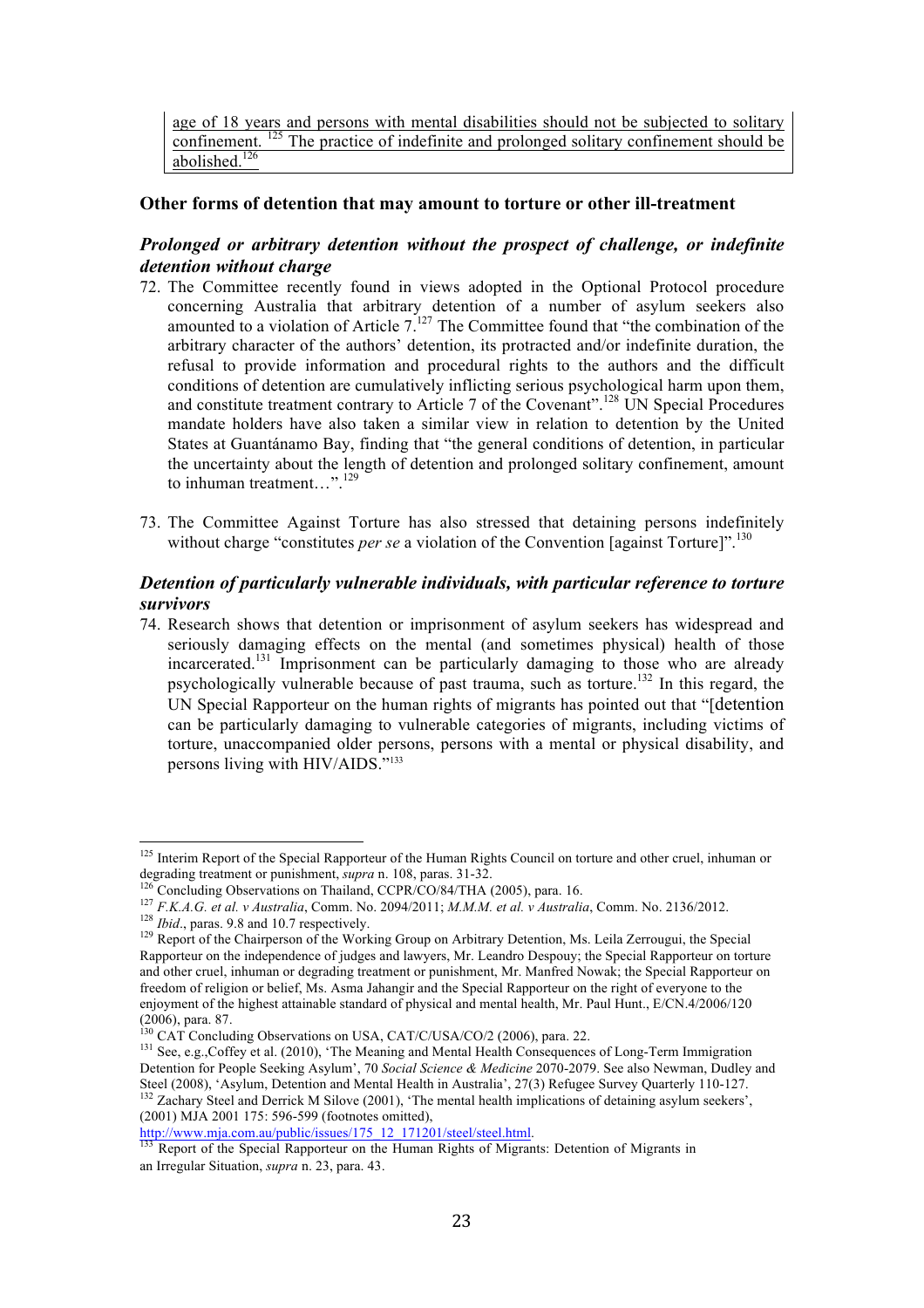### **Other forms of detention that may amount to torture or other ill-treatment**

### *Prolonged or arbitrary detention without the prospect of challenge, or indefinite detention without charge*

- 72. The Committee recently found in views adopted in the Optional Protocol procedure concerning Australia that arbitrary detention of a number of asylum seekers also amounted to a violation of Article  $7^{127}$  The Committee found that "the combination of the arbitrary character of the authors' detention, its protracted and/or indefinite duration, the refusal to provide information and procedural rights to the authors and the difficult conditions of detention are cumulatively inflicting serious psychological harm upon them, and constitute treatment contrary to Article 7 of the Covenant".<sup>128</sup> UN Special Procedures mandate holders have also taken a similar view in relation to detention by the United States at Guantánamo Bay, finding that "the general conditions of detention, in particular the uncertainty about the length of detention and prolonged solitary confinement, amount to inhuman treatment...".<sup>129</sup>
- 73. The Committee Against Torture has also stressed that detaining persons indefinitely without charge "constitutes *per se* a violation of the Convention [against Torture]".<sup>130</sup>

### *Detention of particularly vulnerable individuals, with particular reference to torture survivors*

74. Research shows that detention or imprisonment of asylum seekers has widespread and seriously damaging effects on the mental (and sometimes physical) health of those incarcerated.131 Imprisonment can be particularly damaging to those who are already psychologically vulnerable because of past trauma, such as torture.132 In this regard, the UN Special Rapporteur on the human rights of migrants has pointed out that "[detention can be particularly damaging to vulnerable categories of migrants, including victims of torture, unaccompanied older persons, persons with a mental or physical disability, and persons living with HIV/AIDS."133

<sup>&</sup>lt;sup>125</sup> Interim Report of the Special Rapporteur of the Human Rights Council on torture and other cruel, inhuman or degrading treatment or punishment, *supra* n. 108, paras. 31-32.

<sup>&</sup>lt;sup>126</sup> Concluding Observations on Thailand, *CCPR/CO/84/THA (2005)*, para. 16.<br><sup>127</sup> *F.K.A.G. et al. v Australia*, Comm. No. 2094/2011; *M.M.M. et al. v Australia*, Comm. No. 2136/2012.

 $128$  *Ibid.*, paras. 9.8 and 10.7 respectively.<br><sup>129</sup> Report of the Chairperson of the Working Group on Arbitrary Detention, Ms. Leila Zerrougui, the Special Rapporteur on the independence of judges and lawyers, Mr. Leandro Despouy; the Special Rapporteur on torture and other cruel, inhuman or degrading treatment or punishment, Mr. Manfred Nowak; the Special Rapporteur on freedom of religion or belief, Ms. Asma Jahangir and the Special Rapporteur on the right of everyone to the enjoyment of the highest attainable standard of physical and mental health, Mr. Paul Hunt., E/CN.4/2006/120 (2006), para. 87.<br><sup>130</sup> CAT Concluding Observations on USA, CAT/C/USA/CO/2 (2006), para. 22.<br><sup>131</sup> See, e.g.,Coffey et al. (2010), 'The Meaning and Mental Health Consequences of Long-Term Immigration

Detention for People Seeking Asylum', 70 *Social Science & Medicine* 2070-2079. See also Newman, Dudley and  $^{32}$  Zachary Steel and Derrick M Silove (2001), 'The mental health implications of detaining asylum seekers', (2001) MJA 2001 175: 596-599 (footnotes omitted),<br> $\frac{http://www.mja.com.au/public/issues/175_12_171201/steel/steel.html.}{}$ 

<sup>&</sup>lt;sup>133</sup> Report of the Special Rapporteur on the Human Rights of Migrants: Detention of Migrants in an Irregular Situation, *supra* n. 23, para. 43.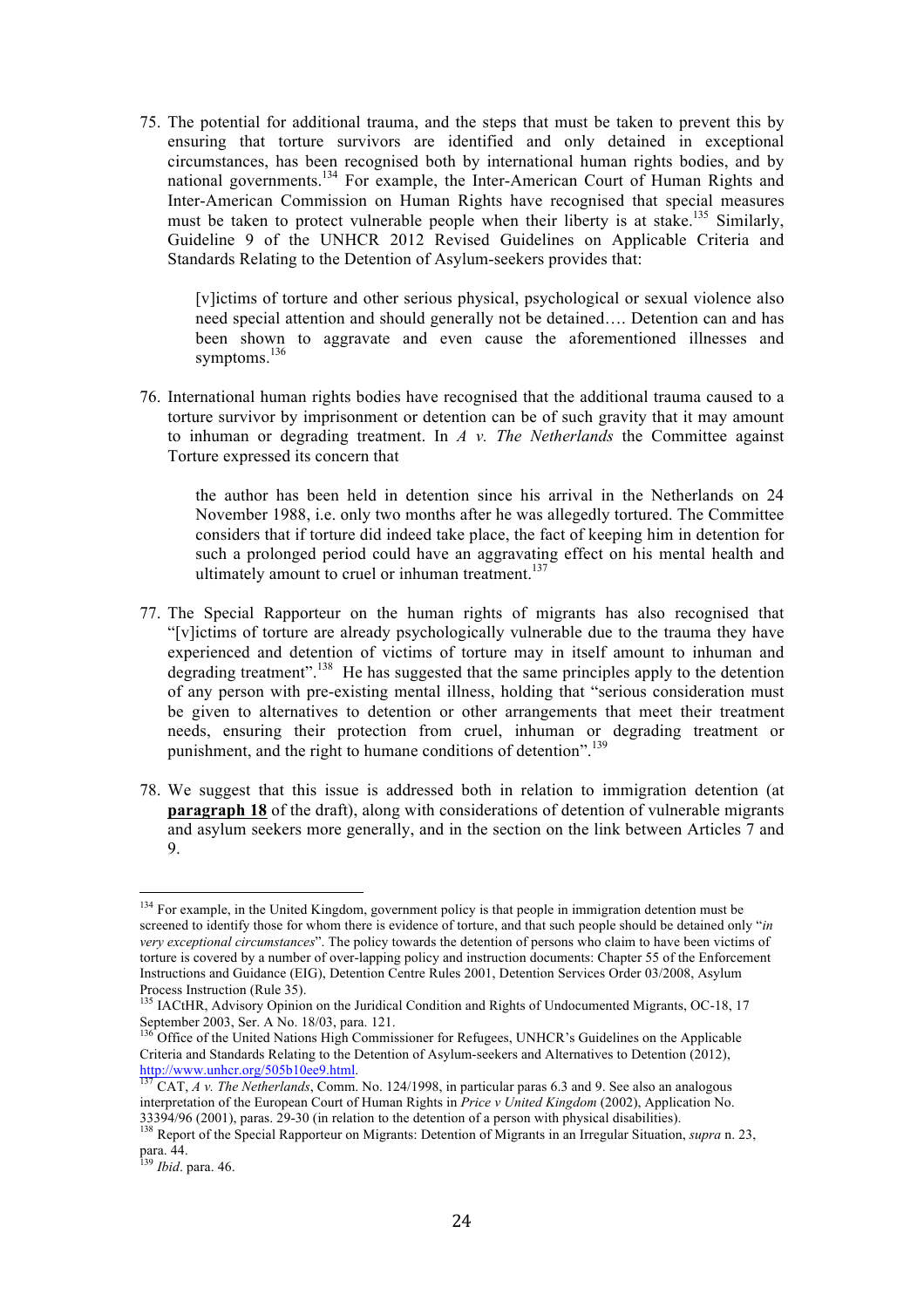75. The potential for additional trauma, and the steps that must be taken to prevent this by ensuring that torture survivors are identified and only detained in exceptional circumstances, has been recognised both by international human rights bodies, and by national governments.134 For example, the Inter-American Court of Human Rights and Inter-American Commission on Human Rights have recognised that special measures must be taken to protect vulnerable people when their liberty is at stake.<sup>135</sup> Similarly, Guideline 9 of the UNHCR 2012 Revised Guidelines on Applicable Criteria and Standards Relating to the Detention of Asylum-seekers provides that:

[v]ictims of torture and other serious physical, psychological or sexual violence also need special attention and should generally not be detained…. Detention can and has been shown to aggravate and even cause the aforementioned illnesses and symptoms.<sup>136</sup>

76. International human rights bodies have recognised that the additional trauma caused to a torture survivor by imprisonment or detention can be of such gravity that it may amount to inhuman or degrading treatment. In *A v. The Netherlands* the Committee against Torture expressed its concern that

the author has been held in detention since his arrival in the Netherlands on 24 November 1988, i.e. only two months after he was allegedly tortured. The Committee considers that if torture did indeed take place, the fact of keeping him in detention for such a prolonged period could have an aggravating effect on his mental health and ultimately amount to cruel or inhuman treatment. $137$ 

- 77. The Special Rapporteur on the human rights of migrants has also recognised that "[v]ictims of torture are already psychologically vulnerable due to the trauma they have experienced and detention of victims of torture may in itself amount to inhuman and degrading treatment".<sup>138</sup> He has suggested that the same principles apply to the detention of any person with pre-existing mental illness, holding that "serious consideration must be given to alternatives to detention or other arrangements that meet their treatment needs, ensuring their protection from cruel, inhuman or degrading treatment or punishment, and the right to humane conditions of detention".<sup>139</sup>
- 78. We suggest that this issue is addressed both in relation to immigration detention (at **paragraph 18** of the draft), along with considerations of detention of vulnerable migrants and asylum seekers more generally, and in the section on the link between Articles 7 and 9.

<sup>&</sup>lt;sup>134</sup> For example, in the United Kingdom, government policy is that people in immigration detention must be screened to identify those for whom there is evidence of torture, and that such people should be detained only "*in very exceptional circumstances*". The policy towards the detention of persons who claim to have been victims of torture is covered by a number of over-lapping policy and instruction documents: Chapter 55 of the Enforcement Instructions and Guidance (EIG), Detention Centre Rules 2001, Detention Services Order 03/2008, Asylum Process Instruction (Rule 35).

<sup>&</sup>lt;sup>135</sup> IACtHR, Advisory Opinion on the Juridical Condition and Rights of Undocumented Migrants, OC-18, 17 September 2003, Ser. A No. 18/03, para. 121.<br> $^{136}$  Office of the U.S. is a set of the U.S.

<sup>136</sup> Office of the United Nations High Commissioner for Refugees, UNHCR's Guidelines on the Applicable Criteria and Standards Relating to the Detention of Asylum-seekers and Alternatives to Detention (2012),<br> $\frac{http://www.unher.org/505b10ee9.html.}{137 \text{ CAT} - 4 \text{ W} - The Mathoulute of course}$ 

CAT, *A v. The Netherlands*, Comm. No. 124/1998, in particular paras 6.3 and 9. See also an analogous interpretation of the European Court of Human Rights in *Price v United Kingdom* (2002), Application No. 33394/96 (2001), paras. 29-30 (in relation to the detention of a person with physical disabilities). 138 Report of the Special Rapporteur on Migrants: Detention of Migrants in an Irregular Situation, *supra* n. 23,

para. 44.

<sup>139</sup> *Ibid*. para. 46.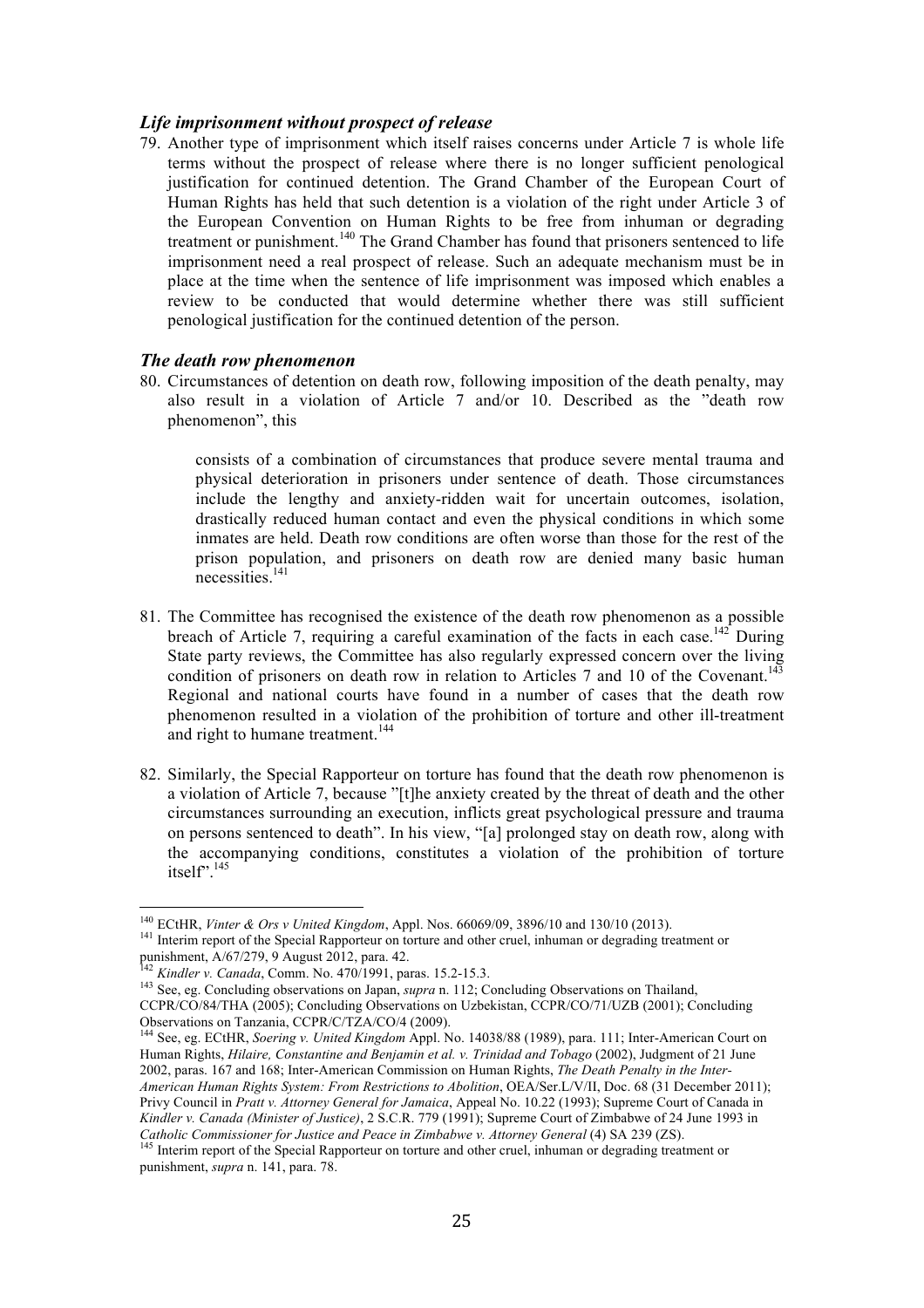### *Life imprisonment without prospect of release*

79. Another type of imprisonment which itself raises concerns under Article 7 is whole life terms without the prospect of release where there is no longer sufficient penological justification for continued detention. The Grand Chamber of the European Court of Human Rights has held that such detention is a violation of the right under Article 3 of the European Convention on Human Rights to be free from inhuman or degrading treatment or punishment.<sup>140</sup> The Grand Chamber has found that prisoners sentenced to life imprisonment need a real prospect of release. Such an adequate mechanism must be in place at the time when the sentence of life imprisonment was imposed which enables a review to be conducted that would determine whether there was still sufficient penological justification for the continued detention of the person.

#### *The death row phenomenon*

80. Circumstances of detention on death row, following imposition of the death penalty, may also result in a violation of Article 7 and/or 10. Described as the "death row phenomenon", this

consists of a combination of circumstances that produce severe mental trauma and physical deterioration in prisoners under sentence of death. Those circumstances include the lengthy and anxiety-ridden wait for uncertain outcomes, isolation, drastically reduced human contact and even the physical conditions in which some inmates are held. Death row conditions are often worse than those for the rest of the prison population, and prisoners on death row are denied many basic human necessities. 141

- 81. The Committee has recognised the existence of the death row phenomenon as a possible breach of Article 7, requiring a careful examination of the facts in each case.<sup>142</sup> During State party reviews, the Committee has also regularly expressed concern over the living condition of prisoners on death row in relation to Articles 7 and 10 of the Covenant.<sup>143</sup> Regional and national courts have found in a number of cases that the death row phenomenon resulted in a violation of the prohibition of torture and other ill-treatment and right to humane treatment.<sup>144</sup>
- 82. Similarly, the Special Rapporteur on torture has found that the death row phenomenon is a violation of Article 7, because "[t]he anxiety created by the threat of death and the other circumstances surrounding an execution, inflicts great psychological pressure and trauma on persons sentenced to death". In his view, "[a] prolonged stay on death row, along with the accompanying conditions, constitutes a violation of the prohibition of torture itself".<sup>145</sup>

 $^{140}$  ECtHR, Vinter & Ors v United Kingdom, Appl. Nos. 66069/09, 3896/10 and 130/10 (2013). <sup>141</sup> Interim report of the Special Rapporteur on torture and other cruel, inhuman or degrading treatment or punishment, A/67/279, 9 August 2012, para. 42.

<sup>142</sup> *Kindler v. Canada*, Comm. No. 470/1991, paras. 15.2-15.3.

<sup>&</sup>lt;sup>143</sup> See, eg. Concluding observations on Japan, *supra* n. 112; Concluding Observations on Thailand, CCPR/CO/84/THA (2005); Concluding Observations on Uzbekistan, CCPR/CO/71/UZB (2001); Concluding Observations on Tanzania, CCPR/C/TZA/CO/4 (2009). <sup>144</sup> See, eg. ECtHR, *Soering v. United Kingdom* Appl. No. 14038/88 (1989), para. 111; Inter-American Court on

Human Rights, *Hilaire, Constantine and Benjamin et al. v. Trinidad and Tobago* (2002), Judgment of 21 June 2002, paras. 167 and 168; Inter-American Commission on Human Rights, *The Death Penalty in the Inter-American Human Rights System: From Restrictions to Abolition*, OEA/Ser.L/V/II, Doc. 68 (31 December 2011); Privy Council in *Pratt v. Attorney General for Jamaica*, Appeal No. 10.22 (1993); Supreme Court of Canada in *Kindler v. Canada (Minister of Justice)*, 2 S.C.R. 779 (1991); Supreme Court of Zimbabwe of 24 June 1993 in *Catholic Commissioner for Justice and Peace in Zimbabwe v. Attorney General* (4) SA 239 (ZS).<br><sup>145</sup> Interim report of the Special Rapporteur on torture and other cruel, inhuman or degrading treatment or

punishment, *supra* n. 141, para. 78.